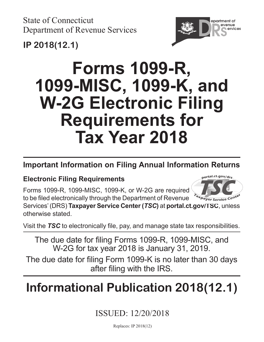State of Connecticut Department of Revenue Services



## **IP 2018(12.1)**

# **Forms 1099-R, 1099-MISC, 1099-K, and W-2G Electronic Filing Requirements for Tax Year 2018**

## **Important Information on Filing Annual Information Returns**

### **Electronic Filing Requirements**

Forms 1099-R, 1099-MISC, 1099-K, or W-2G are required to be filed electronically through the Department of Revenue



Services' (DRS) **Taxpayer Service Center (***TSC***)** at **[portal.ct.gov/TSC](https://portal.ct.gov/TSC)**, unless otherwise stated.

Visit the *TSC* to electronically file, pay, and manage state tax responsibilities.

The due date for filing Forms 1099-R, 1099-MISC, and W-2G for tax year 2018 is January 31, 2019.

The due date for filing Form 1099-K is no later than 30 days after filing with the IRS.

## **Informational Publication 2018(12.1)**

### ISSUED: 12/20/2018

Replaces: IP 2018(12)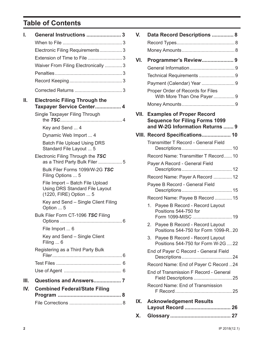### **Table of Contents**

| I.  | General Instructions  3                                                                            |
|-----|----------------------------------------------------------------------------------------------------|
|     |                                                                                                    |
|     | Electronic Filing Requirements3                                                                    |
|     | Extension of Time to File  3                                                                       |
|     | Waiver From Filing Electronically  3                                                               |
|     |                                                                                                    |
|     |                                                                                                    |
|     |                                                                                                    |
| Ш.  | <b>Electronic Filing Through the</b><br>Taxpayer Service Center 4                                  |
|     | Single Taxpayer Filing Through                                                                     |
|     | Key and Send  4                                                                                    |
|     | Dynamic Web Import  4                                                                              |
|     | <b>Batch File Upload Using DRS</b><br>Standard File Layout  5                                      |
|     | Electronic Filing Through the TSC<br>as a Third Party Bulk Filer 5                                 |
|     | Bulk Filer Forms 1099/W-2G TSC<br>Filing Options  5                                                |
|     | File Import - Batch File Upload<br><b>Using DRS Standard File Layout</b><br>(1220, FIRE) Option  5 |
|     | Key and Send - Single Client Filing<br>Option  5                                                   |
|     | Bulk Filer Form CT-1096 TSC Filing                                                                 |
|     | File Import  6                                                                                     |
|     | Key and Send - Single Client<br>Filing $\dots$ 6                                                   |
|     | Registering as a Third Party Bulk                                                                  |
|     |                                                                                                    |
|     |                                                                                                    |
| Ш.  |                                                                                                    |
| IV. | <b>Combined Federal/State Filing</b>                                                               |
|     |                                                                                                    |
|     |                                                                                                    |

| V.  | Data Record Descriptions  8                                                                                       |  |  |  |  |  |  |
|-----|-------------------------------------------------------------------------------------------------------------------|--|--|--|--|--|--|
|     |                                                                                                                   |  |  |  |  |  |  |
|     |                                                                                                                   |  |  |  |  |  |  |
| VI. | Programmer's Review 9                                                                                             |  |  |  |  |  |  |
|     |                                                                                                                   |  |  |  |  |  |  |
|     |                                                                                                                   |  |  |  |  |  |  |
|     |                                                                                                                   |  |  |  |  |  |  |
|     | Proper Order of Records for Files<br>With More Than One Payer9                                                    |  |  |  |  |  |  |
|     |                                                                                                                   |  |  |  |  |  |  |
|     | <b>VII. Examples of Proper Record</b><br><b>Sequence for Filing Forms 1099</b><br>and W-2G Information Returns  9 |  |  |  |  |  |  |
|     | VIII. Record Specifications 10                                                                                    |  |  |  |  |  |  |
|     | Transmitter T Record - General Field                                                                              |  |  |  |  |  |  |
|     | Record Name: Transmitter T Record 10                                                                              |  |  |  |  |  |  |
|     | Payer A Record - General Field                                                                                    |  |  |  |  |  |  |
|     | Record Name: Payer A Record  12                                                                                   |  |  |  |  |  |  |
|     | Payee B Record - General Field                                                                                    |  |  |  |  |  |  |
|     | Record Name: Payee B Record  15                                                                                   |  |  |  |  |  |  |
|     | Payee B Record - Record Layout<br>1.<br>Positions 544-750 for                                                     |  |  |  |  |  |  |
|     | Form 1099-MISC  19                                                                                                |  |  |  |  |  |  |
|     | 2. Payee B Record - Record Layout<br>Positions 544-750 for Form 1099-R 20                                         |  |  |  |  |  |  |
|     | Payee B Record - Record Layout<br>3.<br>Positions 544-750 for Form W-2G , 22                                      |  |  |  |  |  |  |
|     | End of Payer C Record - General Field                                                                             |  |  |  |  |  |  |
|     | Record Name: End of Payer C Record  24                                                                            |  |  |  |  |  |  |
|     | End of Transmission F Record - General<br>Field Descriptions  25                                                  |  |  |  |  |  |  |
|     | Record Name: End of Transmission                                                                                  |  |  |  |  |  |  |
| IX. | <b>Acknowledgement Results</b><br>Layout Record  26                                                               |  |  |  |  |  |  |
|     |                                                                                                                   |  |  |  |  |  |  |

**X. Glossary.......................................... 27**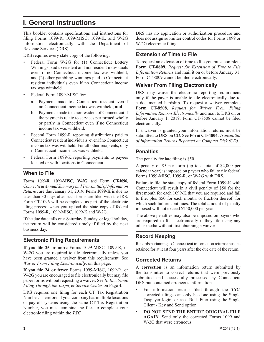### **I. General Instructions**

This booklet contains specifications and instructions for filing Forms 1099-R, 1099-MISC, 1099-K, and W-2G information electronically with the Department of Revenue Services (DRS).

DRS requires every state copy of the following:

- Federal Form W-2G for (1) Connecticut Lottery Winnings paid to resident and nonresident individuals even if no Connecticut income tax was withheld; and (2) other gambling winnings paid to Connecticut resident individuals even if no Connecticut income tax was withheld.
- Federal Form 1099-MISC for:
	- a. Payments made to a Connecticut resident even if no Connecticut income tax was withheld; **and**
	- b. Payments made to a nonresident of Connecticut if the payments relate to services performed wholly or partly in Connecticut even if no Connecticut income tax was withheld.
- Federal Form 1099-R reporting distributions paid to Connecticut resident individuals, even if no Connecticut income tax was withheld. For all other recipients, only if Connecticut income tax was withheld.
- Federal Form 1099-K reporting payments to payees located or with locations in Connecticut.

### **When to File**

**Forms 1099-R, 1099-MISC, W-2G** and **Form CT-1096**, *Connecticut Annual Summary and Transmittal of Information Returns*, are due January 31, 2019. **Form 1099-K** is due no later than 30 days after such forms are filed with the IRS. Form CT-1096 will be completed as part of the electronic filing process when you upload the state copy of federal Forms 1099-R, 1099-MISC, 1099-K and W-2G.

If the due date falls on a Saturday, Sunday, or legal holiday, the return will be considered timely if filed by the next business day.

### **Electronic Filing Requirements**

**If you file 25 or more** Forms 1099-MISC, 1099-R, or W-2G you are required to file electronically unless you have been granted a waiver from this requirement. See *Waiver From Filing Electronically*, on this page.

**If you file 24 or fewer** Forms 1099-MISC, 1099-R, or W-2G you are encouraged to file electronically but may file paper forms without requesting a waiver. See *II. Electronic Filing Through the Taxpayer Service Center* on Page 4.

DRS requires one filing for each CT Tax Registration Number. Therefore, if your company has multiple locations or payroll systems using the same CT Tax Registration Number, you must combine the files to complete your electronic filing within the *TSC*.

DRS has no application or authorization procedure and does not assign submitter control codes for Forms 1099 or W-2G electronic filing.

### **Extension of Time to File**

To request an extension of time to file you must complete **Form CT-8809**, *Request for Extension of Time to File Information Returns* and mail it on or before January 31. Form CT-8809 cannot be filed electronically.

### **Waiver From Filing Electronically**

DRS may waive the electronic reporting requirement only if the payer is unable to file electronically due to a documented hardship. To request a waiver complete **Form CT-8508**, *Request for Waiver From Filing Information Returns Electronically* and mail to DRS on or before January 1, 2019. Form CT-8508 cannot be filed electronically.

If a waiver is granted your information returns must be submitted to DRS on CD. See **Form CT-4804**, *Transmittal of Information Returns Reported on Compact Disk (CD)*.

### **Penalties**

The penalty for late filing is \$50.

A penalty of \$5 per form (up to a total of \$2,000 per calendar year) is imposed on payers who fail to file federal Forms 1099-MISC, 1099-R, or W-2G with DRS.

Failure to file the state copy of federal Form 1099-K with Connecticut will result in a civil penalty of \$50 for the first month for each 1099-K that you are required and fail to file, plus \$50 for each month, or fraction thereof, for which such failure continues. The total amount of penalty imposed will not exceed \$250,000 per year.

The above penalties may also be imposed on payers who are required to file electronically if they file using any other media without first obtaining a waiver.

### **Record Keeping**

Records pertaining to Connecticut information returns must be retained for at least four years after the due date of the return.

### **Corrected Returns**

A **correction** is an information return submitted by the transmitter to correct returns that were previously submitted and successfully processed by Connecticut DRS but contained erroneous information.

- For information returns filed through the *TSC*, corrected filings can only be done using the Single Taxpayer login, or as a Bulk Filer using the Single Client - Key and Send option.
- **DO NOT SEND THE ENTIRE ORIGINAL FILE AGAIN.** Send only the corrected Forms 1099 and W-2G that were erroneous.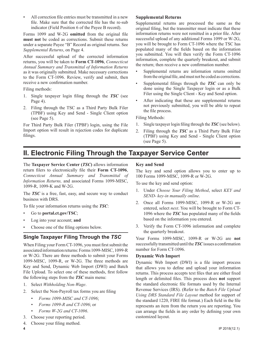All correction file entries must be transmitted in a new file. Make sure that the corrected file has the re-sub indicator (Field Position 6 of the Payee B record).

Forms 1099 and W-2G **omitted** from the original file **must not** be coded as corrections. Submit these returns under a separate Payee "B" Record as original returns. See *Supplemental Returns*, on Page 4.

After successful upload of the corrected information returns, you will be taken to **Form CT-1096**, *Connecticut Annual Summary and Transmittal of Information Returns*  as it was originally submitted. Make necessary corrections to the Form CT-1096. Review, verify and submit, then receive a new confirmation number.

Filing methods:

- 1. Single taxpayer login filing through the *TSC* (see Page 4).
- 2. Filing through the TSC as a Third Party Bulk Filer (TPBF) using Key and Send - Single Client option (see Page 5).

For Third Party Bulk Filer (TPBF) login, using the File Import option will result in rejection codes for duplicate filings.

#### **Supplemental Returns**

Supplemental returns are processed the same as the original filing, but the transmitter must indicate that these information returns were not remitted in a prior file. After successful upload of any additional Forms 1099 or W-2G, you will be brought to Form CT-1096 where the TSC has populated many of the fields based on the information you submitted. You will then verify the Form CT-1096 information, complete the quarterly breakout, and submit the return; then receive a new confirmation number.

- Supplemental returns are information returns omitted from the original file, and must not be coded as corrections.
- Supplemental filings through the *TSC* can only be done using the Single Taxpayer login or as a Bulk Filer using the Single Client - Key and Send option.
- After indicating that these are supplemental returns not previously submitted, you will be able to repeat the file process.

Filing Methods:

- 1. Single taxpayer login filing through the *TSC* (see below).
- 2. Filing through the *TSC* as a Third Party Bulk Filer (TPBF) using Key and Send - Single Client option (see Page 5).

### **II. Electronic Filing Through the Taxpayer Service Center**

The **Taxpayer Service Center (***TSC***)** allows information return filers to electronically file their **Form CT-1096**, *Connecticut Annual Summary and Transmittal of Information Returns,* and associated Forms 1099-MISC, 1099-R, 1099-K and W-2G.

The *TSC* is a free, fast, easy, and secure way to conduct business with DRS.

To file your information returns using the *TSC*:

- Go to **[portal.ct.gov/TSC](https://portal.ct.gov/TSC)**;
- Log into your account; **and**
- Choose one of the filing options below.

### **Single Taxpayer Filing Through the** *TSC*

When Filing your Form CT-1096, you must first submit the associated information returns: Forms 1099-MISC, 1099-R or W-2G. There are three methods to submit your Forms 1099-MISC, 1099-R, or W-2G. The three methods are Key and Send, Dynamic Web Import (DWI) and Batch File Upload. To select one of these methods, first follow the following steps from the *TSC* main menu:

- 1. Select *Withholding Non-Wage*.
- 2. Select the Non-Payroll tax forms you are filing
	- *• Forms 1099-MISC and CT-1096*;
	- *• Forms 1099-R and CT-1096*; or
	- *• Forms W-2G and CT-1096*.
- 3. Choose your reporting period.

### 4. Choose your filing method.

### **Key and Send**

The key and send option allows you to enter up to 100 Forms 1099-MISC, 1099-R or W-2G.

To use the key and send option:

- 1. Under *Choose Your Filing Method*, select *KEY and SEND- key-in manually online*.
- 2. Once all Forms 1099-MISC, 1099-R or W-2G are entered, select *next*. You will be brought to Form CT-1096 where the *TSC* has populated many of the fields based on the information you entered.
- 3. Verify the Form CT-1096 information and complete the quarterly breakout.

Your Forms 1099-MISC, 1099-R or W-2G are **not**  successfully transmitted until the *TSC* issues a confirmation number for Form CT-1096.

#### **Dynamic Web Import**

Dynamic Web Import (DWI) is a file import process that allows you to define and upload your information returns. This process accepts text files that are either fixed length or delimited files. This process does **not** support the standard electronic file formats used by the Internal Revenue Services (IRS). (Refer to the *Batch File Upload Using DRS Standard File Layout* method for support of the standard 1220, FIRE file format.) Each field in the file represents an item from the return you are reporting. You can arrange the fields in any order by defining your own customized layout.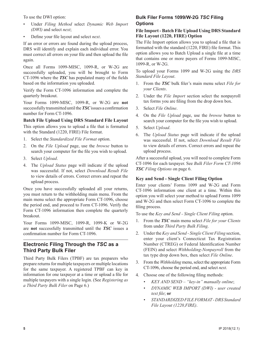To use the DWI option:

- Under *Filing Method* select *Dynamic Web Import (DWI)* and select *next*;
- Define your file layout and select *next*.

If an error or errors are found during the upload process, DRS will identify and explain each individual error. You must correct all errors on your file and then upload the file again.

Once all Forms 1099-MISC, 1099-R, or W-2G are successfully uploaded, you will be brought to Form CT-1096 where the *TSC* has populated many of the fields based on the information you uploaded.

Verify the Form CT-1096 information and complete the quarterly breakout.

Your Forms 1099-MISC, 1099-R, or W-2G are **not**  successfully transmitted until the*TSC*issues a confirmation number for Form CT-1096.

**Batch File Upload Using DRS Standard File Layout** This option allows you to upload a file that is formatted with the Standard (1220, FIRE) File format.

- 1. Select the *Standardized File Format* option.
- 2. On the *File Upload* page, use the *browse* button to search your computer for the file you wish to upload.
- 3. Select *Upload*.
- 4. The *Upload Status* page will indicate if the upload was successful. If not, select *Download Result File* to view details of errors. Correct errors and repeat the upload process.

Once you have successfully uploaded all your returns, you must return to the withholding main menu. From the main menu select the appropriate Form CT-1096, choose the period end, and proceed to Form CT-1096. Verify the Form CT-1096 information then complete the quarterly breakout.

Your Forms 1099-MISC, 1099-R, 1099-K or W-2G are **not** successfully transmitted until the *TSC* issues a confirmation number for Form CT-1096.

### **Electronic Filing Through the** *TSC* **as a Third Party Bulk Filer**

Third Party Bulk Filers (TPBF) are tax preparers who prepare returns for multiple taxpayers or multiple locations for the same taxpayer. A registered TPBF can key in information for one taxpayer at a time or upload a file for multiple taxpayers with a single login. (See *Registering as a Third Party Bulk Filer* on Page 6.)

### **Bulk Filer Forms 1099/W-2G** *TSC* **Filing Options**

#### **File Import - Batch File Upload Using DRS Standard File Layout (1220, FIRE) Option**

The File Import option allows you to upload a file that is formatted with the standard (1220, FIRE) file format. This option allows you to Batch Upload a single file at a time that contains one or more payers of Forms 1099-MISC, 1099-R, or W-2G.

To upload your Forms 1099 and W-2G using the *DRS Standard File Layout*.

- 1. From the *TSC* bulk filer's main menu select *File for your Clients*.
- 2. Under the *File Import* section select the nonpayroll tax forms you are filing from the drop down box.
- 3. Select *File Online*.
- 4. On the *File Upload* page, use the *browse* button to search your computer for the file you wish to upload.
- 5. Select *Upload*.
- 6. The *Upload Status* page will indicate if the upload was successful. If not, select *Download Result File* to view details of errors. Correct errors and repeat the upload process.

After a successful upload, you will need to complete Form CT-1096 for each taxpayer. See *Bulk Filer Form CT-1096 TSC Filing Options* on page 6.

### **Key and Send - Single Client Filing Option**

Enter your clients' Forms 1099 and W-2G and Form CT-1096 information one client at a time. Within this option you will select your method to upload Forms 1099 and W-2G and then select Form CT-1096 to complete the filing process.

To use the *Key and Send - Single Client Filing* option.

- 1. From the *TSC* main menu select *File for your Clients* from under *Third Party Bulk Filing*.
- 2. Under the *Key and Send Single Client Filing* section, enter your client's Connecticut Tax Registration Number (CTREG) or Federal Identification Number (FEIN) and select *Withholding-Nonpayroll* from the tax type drop down box, then select *File Online*.
- 3. From the *Withholding* menu, select the appropriate Form CT-1096, choose the period end, and select *next*.
- 4. Choose one of the following filing methods:
	- *• KEY AND SEND "key-in" manually online*;
	- *• DYNAMIC WEB IMPORT (DWI) user created text file*; **or**
	- *• STANDARDIZED FILE FORMAT DRS Standard File Layout (1220,FIRE)*.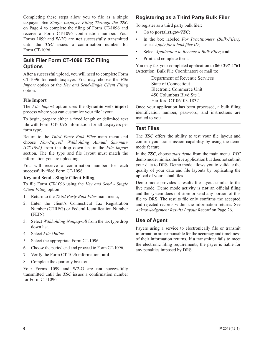Completing these steps allow you to file as a single taxpayer. See *Single Taxpayer Filing Through the TSC* on Page 4 to complete the filing of Form CT-1096 and receive a Form CT-1096 confirmation number. Your Forms 1099 and W-2G are **not** successfully transmitted until the *TSC* issues a confirmation number for Form CT-1096.

### **Bulk Filer Form CT-1096** *TSC* **Filing Options**

After a successful upload, you will need to complete Form CT-1096 for each taxpayer. You may choose the *File Import* option or the *Key and Send-Single Client Filing* option.

#### **File Import**

The *File Import* option uses the **dynamic web import**  process where you can customize your file layout.

To begin, prepare either a fixed length or delimited text file with Form CT-1096 information for all taxpayers per form type.

Return to the *Third Party Bulk Filer* main menu and choose *Non-Payroll Withholding Annual Summary (CT-1096)* from the drop down list in the *File Import*  section. The file type and file layout must match the information you are uploading.

You will receive a confirmation number for each successfully filed Form CT-1096.

#### **Key and Send - Single Client Filing**

To file Form CT-1096 using the *Key and Send - Single Client Filing* option:

- 1. Return to the *Third Party Bulk Filer* main menu;
- 2. Enter the client's Connecticut Tax Registration Number (CTREG) or Federal Identification Number (FEIN).
- 3. Select *Withholding-Nonpayroll* from the tax type drop down list.
- 4. Select *File Online*.
- 5. Select the appropriate Form CT-1096.
- 6. Choose the period end and proceed to Form CT-1096.
- 7. Verify the Form CT-1096 information; **and**
- 8. Complete the quarterly breakout.

Your Forms 1099 and W2-G are **not** successfully transmitted until the *TSC* issues a confirmation number for Form CT-1096.

### **Registering as a Third Party Bulk Filer**

To register as a third party bulk filer:

- Go to **[portal.ct.gov](https://portal.ct.gov/TSC)***/TSC*;
- In the box labeled *For Practitioners (Bulk-Filers)*  select *Apply for a bulk filer ID*;
- Select *Application to Become a Bulk Filer*; **and**
- Print and complete form.

You may fax your completed application to **860-297-4761** (Attention: Bulk File Coordinator) or mail to:

> Department of Revenue Services State of Connecticut Electronic Commerce Unit 450 Columbus Blvd Ste 1 Hartford CT 06103-1837

Once your application has been processed, a bulk filing identification number, password, and instructions are mailed to you.

#### **Test Files**

The *TSC* offers the ability to test your file layout and confirm your transmission capability by using the demo mode feature.

In the *TSC*, choose *start demo* from the main menu*. TSC*  demo mode mimics the live application but does not submit your data to DRS. Demo mode allows you to validate the quality of your data and file layouts by replicating the upload of your actual files.

Demo mode provides a results file layout similar to the live mode. Demo mode activity is **not** an official filing and the system does not store or send any portion of this file to DRS. The results file only confirms the accepted and rejected records within the information returns. See *Acknowledgement Results Layout Record* on Page 26.

### **Use of Agent**

Payers using a service to electronically file or transmit information are responsible for the accuracy and timeliness of their information returns. If a transmitter fails to meet the electronic filing requirements, the payer is liable for any penalties imposed by DRS.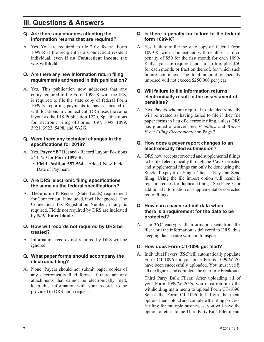### **III. Questions & Answers**

### **Q. Are there any changes affecting the information returns that are required?**

A. Yes. You are required to file 2018 federal Form 1099-R if the recipient is a Connecticut resident individual, **even if no Connecticut income tax was withheld**.

### **Q. Are there any new information return filing requirements addressed in this publication?**

A. Yes. This publication now addresses that any entity required to file Form 1099-K with the IRS, is required to file the state copy of federal Form 1099-K reporting payments to payees located or with locations in Connecticut. DRS uses the same layout as the IRS Publication 1220, Specifications for Electronic Filing of Forms 1097, 1098, 1099, 3921, 3922, 5498, and W-2G.

### **Q. Were there any technical changes in the specifications for 2018?**

- A. Yes. **Payee "B" Record** Record Layout Positions 544-750 for **Form 1099-R**:
	- **• Field Position 557-564** Added New Field Date of Payment.

### **Q. Are DRS' electronic filing specifications the same as the federal specifications?**

- A. There is **no** K Record (State Totals) requirement for Connecticut. If included, it will be ignored. The Connecticut Tax Registration Number, if any, is required. Fields not required by DRS are indicated by **N/A**. **Enter blanks**.
- **Q. How will records not required by DRS be treated?**
- A. Information records not required by DRS will be ignored.

### **Q. What paper forms should accompany the electronic filing?**

A. None. Payers should not submit paper copies of any electronically filed forms. If there are any attachments that cannot be electronically filed, keep this information with your records to be provided to DRS upon request.

#### **Q. Is there a penalty for failure to file federal form 1099-K**?

A. Yes. Failure to file the state copy of federal Form 1099-K with Connecticut will result in a civil penalty of \$50 for the first month for each 1099- K that you are required and fail to file, plus \$50 for each month, or fraction thereof, for which such failure continues. The total amount of penalty imposed will not exceed \$250,000 per year.

### **Q. Will failure to file information returns electronically result in the assessment of penalties?**

A. Yes. Payers who are required to file electronically will be treated as having failed to file if they file paper forms in lieu of electronic filing, unless DRS has granted a waiver. See *Penalties* and *Waiver From Filing Electronically* on Page 3.

### **Q. How does a payer report changes to an electronically filed submission?**

A. DRS now accepts corrected and supplemental filings to be filed electronically through the *TSC*. Corrected and supplemental filings can only be done using the Single Taxpayer or Single Client - Key and Send filing. Using the file import option will result in rejection codes for duplicate filings. See Page 3 for additional information on supplemental or corrected return filings.

### **Q. How can a payer submit data when there is a requirement for the data to be protected?**

A. The *TSC* encrypts all information sent from the filer until the information is delivered to DRS, thus keeping data secure while in transport.

### **Q. How does Form CT-1096 get filed?**

A. Individual Payers: *TSC* will automatically populate Form CT-1096 for you once Forms 1099/W-2G have been successfully uploaded. You must verify all the figures and complete the quarterly breakouts.

Third Party Bulk Filers: After uploading all of your Form 1099/W-2G's, you must return to the withholding main menu to upload Form CT-1096. Select the Form CT-1096 link from the menu options then upload and complete the filing process. If filing for multiple businesses, you will have the option to return to the Third Party Bulk Filer menu.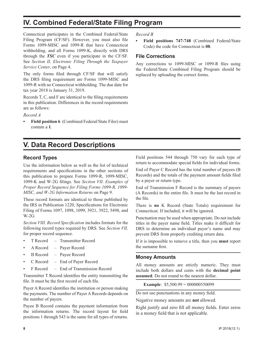### **IV. Combined Federal/State Filing Program**

Connecticut participates in the Combined Federal/State Filing Program (CF/SF). However, you must also file Forms 1099-MISC and 1099-R that have Connecticut withholding, and all Forms 1099-K, directly with DRS through the *TSC* even if you participate in the CF/SF. See *Section II, Electronic Filing Through the Taxpayer Service Center*, on Page 4.

The only forms filed through CF/SF that will satisfy the DRS filing requirement are Forms 1099-MISC and 1099-R with no Connecticut withholding. The due date for tax year 2018 is January 31, 2019.

Records T, C, and F are identical to the filing requirements in this publication. Differences in the record requirements are as follows:

*Record A*

**• Field position 6** (Combined Federal/State Filer) must contain a **1**.

### *Record B*

**• Field positions 747-748** (Combined Federal/State Code) the code for Connecticut is **08**.

### **File Corrections**

Any corrections to 1099-MISC or 1099-R files using the Federal/State Combined Filing Program should be replaced by uploading the correct forms.

### **V. Data Record Descriptions**

### **Record Types**

Use the information below as well as the list of technical requirements and specifications in the other sections of this publication to prepare Forms 1099-R, 1099-MISC, 1099-K and W-2G filings. See *Section VII. Examples of Proper Record Sequence for Filing Forms 1099-R, 1099- MISC, and W-2G Information Returns* on Page 9.

These record formats are identical to those published by the IRS in Publication 1220, Specifications for Electronic Filing of Forms 1097, 1098, 1099, 3921, 3922, 5498, and  $W-2G$ 

*Section VIII. Record Specification* includes formats for the following record types required by DRS. See *Section VII,* for proper record sequence.

- T Record Transmitter Record
- A Record Payer Record
- B Record Payee Record
- C Record End of Payer Record
- F Record End of Transmission Record

Transmitter T Record identifies the entity transmitting the file. It must be the first record of each file.

Payer A Record identifies the institution or person making the payments. The number of Payer A Records depends on the number of payers.

Payee B Record contains the payment information from the information returns. The record layout for field positions 1 through 543 is the same for all types of returns. Field positions 544 through 750 vary for each type of return to accommodate special fields for individual forms.

End of Payer C Record has the total number of payees (B Records) and the totals of the payment amount fields filed by a payer or return type.

End of Transmission F Record is the summary of payers (A Records) in the entire file. It must be the last record in the file.

There is **no** K Record (State Totals) requirement for Connecticut. If included, it will be ignored.

Punctuation may be used when appropriate. Do not include titles in the payer name field. Titles make it difficult for DRS to determine an individual payer's name and may prevent DRS from properly crediting return data.

If it is impossible to remove a title, then you **must** report the surname first.

#### **Money Amounts**

All money amounts are strictly numeric. They must include both dollars and cents with the **decimal point assumed**. Do not round to the nearest dollar.

**Example**: \$5,500.99 = 000000550099

Do not use punctuations in any money field.

Negative money amounts are **not** allowed.

Right justify and zero fill all money fields. Enter zeros in a money field that is not applicable.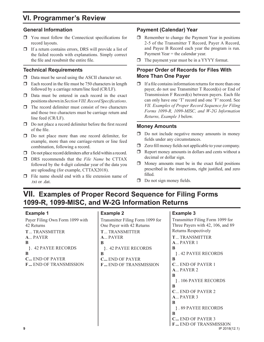### **VI. Programmer's Review**

### **General Information**

- You must follow the Connecticut specifications for record layouts.
- $\Box$  If a return contains errors, DRS will provide a list of the failed records with explanations. Simply correct the file and resubmit the entire file.

### **Technical Requirements**

- $\Box$  Data must be saved using the ASCII character set.
- $\Box$  Each record in the file must be 750 characters in length followed by a carriage return/line feed (CR/LF).
- $\Box$  Data must be entered in each record in the exact positions shown in *Section VIII. Record Specifications*.
- $\Box$  The record delimiter must consist of two characters and those two characters must be carriage return and line feed (CR/LF).
- $\Box$  Do not place a record delimiter before the first record of the file.
- □ Do not place more than one record delimiter, for example, more than one carriage-return or line feed combination, following a record.
- $\Box$  Do not place record delimiters after a field within a record.
- DRS recommends that the *File Name* be CTTAX followed by the 4-digit calendar year of the data you are uploading (for example, CTTAX2018).
- $\Box$  File name should end with a file extension name of .txt or .dat.

### **Payment (Calendar) Year**

- $\Box$  Remember to change the Payment Year in positions 2-5 of the Transmitter T Record, Payer A Record, and Payee B Record each year the program is run. Payment Year = the calendar year.
- $\Box$  The payment year must be in a YYYY format.

### **Proper Order of Records for Files With More Than One Payer**

 $\Box$  If a file contains information returns for more than one payer, do not use Transmitter T Record(s) or End of Transmission F Record(s) between payers. Each file can only have one 'T' record and one 'F' record. See *VII. Examples of Proper Record Sequence for Filing Forms 1099-R, 1099-MISC, and W-2G Information Returns, Example 3* below.

### **Money Amounts**

- $\Box$  Do not include negative money amounts in money fields under any circumstances.
- $\Box$  Zero fill money fields not applicable to your company.
- $\Box$  Report money amounts in dollars and cents without a decimal or dollar sign.
- $\Box$  Money amounts must be in the exact field positions prescribed in the instructions, right justified, and zero filled.
- $\Box$  Do not sign money fields.

### **VII. Examples of Proper Record Sequence for Filing Forms 1099-R, 1099-MISC, and W-2G Information Returns**

### **Example 1**

Payer Filing Own Form 1099 with 42 Returns **T** ... TRANSMITTER **A** ... PAYER **B }** . 42 PAYEE RECORDS **B C ...** END OF PAYER **F ...** END OF TRANSMISSION

### **Example 2**



### **Example 3**

**9** IP 2018(12.1) Transmitter Filing Form 1099 for Three Payers with 42, 106, and 89 Returns Respectively **T** ... TRANSMITTER **A** ... PAYER 1 **B }** . 42 PAYEE RECORDS **B C** ... END OF PAYER 1 **A** ... PAYER 2 **B }** . 106 PAYEE RECORDS **B C** ... END OF PAYER 2 **A** ... PAYER 3 **B }** . 89 PAYEE RECORDS **B C ...** END OF PAYER 3 **F...** END OF TRANSMISSION **IP 2018**(12.1)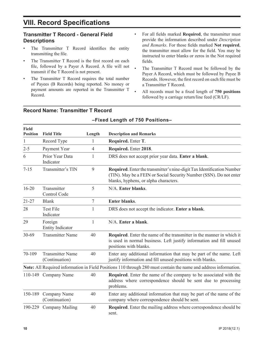### **VIII. Record Specifications**

### **Transmitter T Record - General Field Descriptions**

- The Transmitter T Record identifies the entity transmitting the file.
- The Transmitter T Record is the first record on each file, followed by a Payer A Record. A file will not transmit if the T Record is not present.
- The Transmitter T Record requires the total number of Payees (B Records) being reported. No money or payment amounts are reported in the Transmitter T Record.
- For all fields marked **Required**, the transmitter must provide the information described under *Description and Remarks*. For those fields marked **Not required**, the transmitter must allow for the field. You may be instructed to enter blanks or zeros in the Not required fields.
- The Transmitter T Record must be followed by the Payer A Record, which must be followed by Payee B Records. However, the first record on each file must be a Transmitter T Record.
- All records must be a fixed length of **750 positions**  followed by a carriage return/line feed (CR/LF).

| <b>Field</b><br><b>Position</b> | <b>Field Title</b>                        | Length         | <b>Description and Remarks</b>                                                                                                                                                        |
|---------------------------------|-------------------------------------------|----------------|---------------------------------------------------------------------------------------------------------------------------------------------------------------------------------------|
| $\mathbf{1}$                    | Record Type                               | 1              | Required. Enter T.                                                                                                                                                                    |
| $2 - 5$                         | Payment Year                              | $\overline{4}$ | Required. Enter 2018.                                                                                                                                                                 |
| 6                               | Prior Year Data<br>Indicator              | 1              | DRS does not accept prior year data. Enter a blank.                                                                                                                                   |
| $7 - 15$                        | Transmitter's TIN                         | 9              | Required. Enter the transmitter's nine-digit Tax Identification Number<br>(TIN). May be a FEIN or Social Security Number (SSN). Do not enter<br>blanks, hyphens, or alpha characters. |
| $16 - 20$                       | Transmitter<br>Control Code               | 5              | N/A. Enter blanks.                                                                                                                                                                    |
| $21 - 27$                       | <b>Blank</b>                              | $\tau$         | <b>Enter blanks.</b>                                                                                                                                                                  |
| 28                              | <b>Test File</b><br>Indicator             | 1              | DRS does not accept the indicator. Enter a blank.                                                                                                                                     |
| 29                              | Foreign<br><b>Entity Indicator</b>        | 1              | N/A. Enter a blank.                                                                                                                                                                   |
| 30-69                           | <b>Transmitter Name</b>                   | 40             | <b>Required.</b> Enter the name of the transmitter in the manner in which it<br>is used in normal business. Left justify information and fill unused<br>positions with blanks.        |
| 70-109                          | <b>Transmitter Name</b><br>(Continuation) | 40             | Enter any additional information that may be part of the name. Left<br>justify information and fill unused positions with blanks.                                                     |
|                                 |                                           |                | Note: All Required information in Field Positions 110 through 280 must contain the name and address information.                                                                      |
|                                 | 110-149 Company Name                      | 40             | Required. Enter the name of the company to be associated with the<br>address where correspondence should be sent due to processing<br>problems.                                       |
| 150-189                         | Company Name<br>(Continuation)            | 40             | Enter any additional information that may be part of the name of the<br>company where correspondence should be sent.                                                                  |
| 190-229                         | <b>Company Mailing</b>                    | 40             | Required. Enter the mailing address where correspondence should be<br>sent.                                                                                                           |

**–Fixed Length of 750 Positions–**

### **Record Name: Transmitter T Record**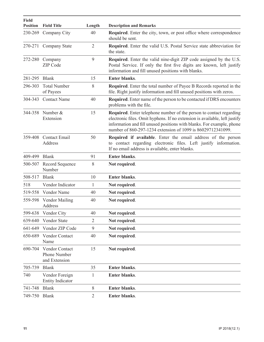| <b>Field</b><br><b>Position</b> | <b>Field Title</b>                                            | Length         | <b>Description and Remarks</b>                                                                                                                                                                                                                                                            |
|---------------------------------|---------------------------------------------------------------|----------------|-------------------------------------------------------------------------------------------------------------------------------------------------------------------------------------------------------------------------------------------------------------------------------------------|
| 230-269                         | Company City                                                  | 40             | Required. Enter the city, town, or post office where correspondence<br>should be sent.                                                                                                                                                                                                    |
| 270-271                         | Company State                                                 | $\overline{2}$ | <b>Required.</b> Enter the valid U.S. Postal Service state abbreviation for<br>the state.                                                                                                                                                                                                 |
| 272-280                         | Company<br><b>ZIP</b> Code                                    | 9              | Required. Enter the valid nine-digit ZIP code assigned by the U.S.<br>Postal Service. If only the first five digits are known, left justify<br>information and fill unused positions with blanks.                                                                                         |
| 281-295                         | <b>Blank</b>                                                  | 15             | <b>Enter blanks.</b>                                                                                                                                                                                                                                                                      |
| 296-303                         | <b>Total Number</b><br>of Payees                              | 8              | Required. Enter the total number of Payee B Records reported in the<br>file. Right justify information and fill unused positions with zeros.                                                                                                                                              |
| 304-343                         | <b>Contact Name</b>                                           | 40             | <b>Required.</b> Enter name of the person to be contacted if DRS encounters<br>problems with the file.                                                                                                                                                                                    |
| 344-358                         | Number &<br>Extension                                         | 15             | Required. Enter telephone number of the person to contact regarding<br>electronic files. Omit hyphens. If no extension is available, left justify<br>information and fill unused positions with blanks. For example, phone<br>number of 860-297-1234 extension of 1099 is 86029712341099. |
| 359-408                         | <b>Contact Email</b><br>Address                               | 50             | Required if available. Enter the email address of the person<br>to contact regarding electronic files. Left justify information.<br>If no email address is available, enter blanks.                                                                                                       |
| 409-499                         | <b>Blank</b>                                                  | 91             | <b>Enter blanks.</b>                                                                                                                                                                                                                                                                      |
| 500-507                         | Record Sequence<br>Number                                     | 8              | Not required.                                                                                                                                                                                                                                                                             |
| 508-517                         | <b>Blank</b>                                                  | 10             | <b>Enter blanks.</b>                                                                                                                                                                                                                                                                      |
| 518                             | Vendor Indicator                                              | 1              | Not required.                                                                                                                                                                                                                                                                             |
| 519-558                         | Vendor Name                                                   | 40             | Not required.                                                                                                                                                                                                                                                                             |
| 559-598                         | <b>Vendor Mailing</b><br>Address                              | 40             | Not required.                                                                                                                                                                                                                                                                             |
| 599-638                         | Vendor City                                                   | 40             | Not required.                                                                                                                                                                                                                                                                             |
| 639-640                         | Vendor State                                                  | $\overline{2}$ | Not required.                                                                                                                                                                                                                                                                             |
| 641-649                         | Vendor ZIP Code                                               | 9              | Not required.                                                                                                                                                                                                                                                                             |
| 650-689                         | Vendor Contact<br>Name                                        | 40             | Not required.                                                                                                                                                                                                                                                                             |
| 690-704                         | <b>Vendor Contact</b><br><b>Phone Number</b><br>and Extension | 15             | Not required.                                                                                                                                                                                                                                                                             |
| 705-739                         | <b>Blank</b>                                                  | 35             | <b>Enter blanks.</b>                                                                                                                                                                                                                                                                      |
| 740                             | Vendor Foreign<br><b>Entity Indicator</b>                     | 1              | <b>Enter blanks.</b>                                                                                                                                                                                                                                                                      |
| 741-748                         | <b>Blank</b>                                                  | 8              | Enter blanks.                                                                                                                                                                                                                                                                             |
| 749-750                         | <b>Blank</b>                                                  | $\overline{2}$ | Enter blanks.                                                                                                                                                                                                                                                                             |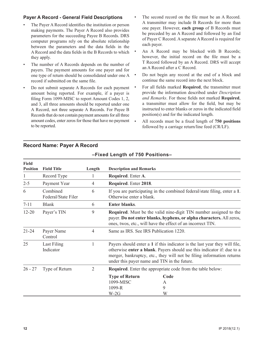### **Payer A Record - General Field Descriptions**

- The Payer A Record identifies the institution or person making payments. The Payer A Record also provides parameters for the succeeding Payee B Records. DRS computer programs rely on the absolute relationship between the parameters and the data fields in the A Record and the data fields in the B Records to which they apply.
- The number of A Records depends on the number of payers. The payment amounts for one payer and for one type of return should be consolidated under one A record if submitted on the same file.
- Do not submit separate A Records for each payment amount being reported. For example, if a payer is filing Form 1099-MISC to report Amount Codes 1, 2, and 3, all three amounts should be reported under one A Record, not three separate A Records. For Payee B Records that do not contain payment amounts for all three amount codes, enter zeros for those that have no payment to be reported.
- The second record on the file must be an A Record. A transmitter may include B Records for more than one payer. However, **each group** of B Records must be preceded by an A Record and followed by an End of Payer C Record. A separate A Record is required for each payer.
- An A Record may be blocked with B Records; however, the initial record on the file must be a T Record followed by an A Record. DRS will accept an A Record after a C Record.
- Do not begin any record at the end of a block and continue the same record into the next block.
- For all fields marked **Required**, the transmitter must provide the information described under *Description and Remarks*. For those fields not marked **Required**, a transmitter must allow for the field, but may be instructed to enter blanks or zeros in the indicated field position(s) and for the indicated length.
- All records must be a fixed length of **750 positions**  followed by a carriage return/line feed (CR/LF).

### **Record Name: Payer A Record**

| Field<br><b>Position</b> | <b>Field Title</b>              | Length         | <b>Description and Remarks</b>                                                                                                                                                                                  |                                                                                                                                                                                                                                                                               |
|--------------------------|---------------------------------|----------------|-----------------------------------------------------------------------------------------------------------------------------------------------------------------------------------------------------------------|-------------------------------------------------------------------------------------------------------------------------------------------------------------------------------------------------------------------------------------------------------------------------------|
| 1                        | Record Type                     | 1              | Required. Enter A.                                                                                                                                                                                              |                                                                                                                                                                                                                                                                               |
| $2 - 5$                  | Payment Year                    | $\overline{4}$ | Required. Enter 2018.                                                                                                                                                                                           |                                                                                                                                                                                                                                                                               |
| 6                        | Combined<br>Federal/State Filer | 6              | Otherwise enter a blank.                                                                                                                                                                                        | If you are participating in the combined federal/state filing, enter a 1.                                                                                                                                                                                                     |
| $7 - 11$                 | <b>Blank</b>                    | 6              | <b>Enter blanks.</b>                                                                                                                                                                                            |                                                                                                                                                                                                                                                                               |
| $12 - 20$                | Payer's TIN                     | 9              | <b>Required.</b> Must be the valid nine-digit TIN number assigned to the<br>payer. Do not enter blanks, hyphens, or alpha characters. All zeros,<br>ones, twos, etc., will have the effect of an incorrect TIN. |                                                                                                                                                                                                                                                                               |
| $21 - 24$                | Payer Name<br>Control           | 4              | Same as IRS. See IRS Publication 1220.                                                                                                                                                                          |                                                                                                                                                                                                                                                                               |
| 25                       | Last Filing<br>Indicator        |                |                                                                                                                                                                                                                 | Payers should enter a 1 if this indicator is the last year they will file,<br>otherwise enter a blank. Payers should use this indicator if: due to a<br>merger, bankruptcy, etc., they will not be filing information returns<br>under this payer name and TIN in the future. |
| $26 - 27$                | Type of Return                  | 2              |                                                                                                                                                                                                                 | <b>Required.</b> Enter the appropriate code from the table below:                                                                                                                                                                                                             |
|                          |                                 |                | <b>Type of Return</b><br>1099-MISC<br>1099-R<br>$W-2G$                                                                                                                                                          | Code<br>A<br>9<br>W                                                                                                                                                                                                                                                           |

### **–Fixed Length of 750 Positions–**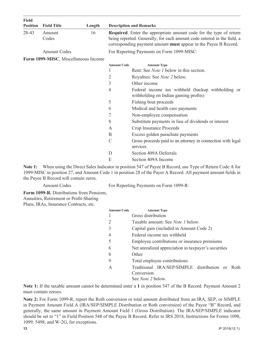| Field<br><b>Position</b> | <b>Field Title</b>                   | Length |                    | <b>Description and Remarks</b>                                                                                                                                                                                                 |
|--------------------------|--------------------------------------|--------|--------------------|--------------------------------------------------------------------------------------------------------------------------------------------------------------------------------------------------------------------------------|
| 28-43                    | Amount<br>Codes                      | 16     |                    | <b>Required.</b> Enter the appropriate amount code for the type of return<br>being reported. Generally, for each amount code entered in the field, a<br>corresponding payment amount <b>must</b> appear in the Payee B Record. |
|                          | <b>Amount Codes</b>                  |        |                    | For Reporting Payments on Form 1099-MISC:                                                                                                                                                                                      |
|                          | Form 1099-MISC, Miscellaneous Income |        |                    |                                                                                                                                                                                                                                |
|                          |                                      |        | <b>Amount Code</b> | <b>Amount Type</b>                                                                                                                                                                                                             |
|                          |                                      |        |                    | Rent: See <i>Note 1</i> below in this section.                                                                                                                                                                                 |
|                          |                                      |        | 2                  | Royalties: See <i>Note 2</i> below.                                                                                                                                                                                            |
|                          |                                      |        | 3                  | Other income                                                                                                                                                                                                                   |
|                          |                                      |        | 4                  | Federal income tax withheld (backup withholding or<br>withholding on Indian gaming profits)                                                                                                                                    |
|                          |                                      |        | 5                  | Fishing boat proceeds                                                                                                                                                                                                          |
|                          |                                      |        | 6                  | Medical and health care payments                                                                                                                                                                                               |
|                          |                                      |        | 7                  | Non-employee compensation                                                                                                                                                                                                      |
|                          |                                      |        | 8                  | Substitute payments in lieu of dividends or interest                                                                                                                                                                           |
|                          |                                      |        | $\mathsf{A}$       | Crop Insurance Proceeds                                                                                                                                                                                                        |
|                          |                                      |        | B                  | Excess golden parachute payments                                                                                                                                                                                               |
|                          |                                      |        | $\mathcal{C}$      | Gross proceeds paid to an attorney in connection with legal<br>services                                                                                                                                                        |
|                          |                                      |        | D                  | Section 409A Deferrals                                                                                                                                                                                                         |
|                          |                                      |        | E                  | Section 409A Income                                                                                                                                                                                                            |

**Note 1:** When using the Direct Sales Indicator in position 547 of Payee B Record, use Type of Return Code A for 1099-MISC in position 27, and Amount Code 1 in position 28 of the Payer A Record. All payment amount fields in the Payee B Record will contain zeros.

Amount Codes For Reporting Payments on Form 1099-R:

**Form 1099-R**, Distributions from Pensions, Annuities, Retirement or Profit-Sharing Plans, IRAs, Insurance Contracts, etc.

| <b>Amount Code</b> | <b>Amount Type</b>                                   |
|--------------------|------------------------------------------------------|
|                    | Gross distribution                                   |
| 2                  | Taxable amount: See <i>Note 1</i> below.             |
| 3                  | Capital gain (included in Amount Code 2)             |
| 4                  | Federal income tax withheld                          |
| 5                  | Employee contributions or insurance premiums         |
| 6                  | Net unrealized appreciation in taxpayer's securities |
| 8                  | Other                                                |
| 9                  | Total employee contributions                         |
| A                  | Traditional IRA/SEP/SIMPLE distribution or<br>Roth   |
|                    | Conversion                                           |
|                    | See <i>Note</i> 2 below.                             |

**Note 1:** If the taxable amount cannot be determined enter a **1** in position 547 of the B Record. Payment Amount 2 must contain zeroes.

**Note 2:** For Form 1099-R, report the Roth conversion or total amount distributed from an IRA, SEP, or SIMPLE in Payment Amount Field A (IRA/SEP/SIMPLE Distribution or Roth conversion) of the Payee "B" Record, and generally, the same amount in Payment Amount Field 1 (Gross Distribution). The IRA/SEP/SIMPLE indicator should be set to "1" in Field Position 548 of the Payee B Record. Refer to IRS 2018, Instructions for Forms 1098, 1099, 5498, and W-2G, for exceptions.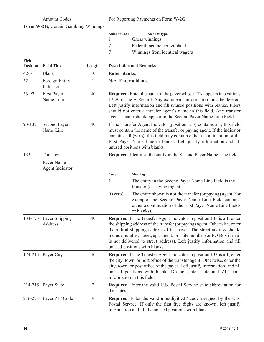Amount Codes For Reporting Payments on Form W-2G:

| Form W-2G, Certain Gambling Winnings |
|--------------------------------------|
|                                      |

| <b>Amount Code</b> | <b>Amount Type</b>             |
|--------------------|--------------------------------|
|                    | Gross winnings                 |
| $\gamma$           | Federal income tax withheld    |
|                    | Winnings from identical wagers |

| <b>Field</b><br><b>Position</b> | <b>Field Title</b>            | Length         |                                                                                                                                                                                                                                                                                                                                                                        | <b>Description and Remarks</b>                                                                                                                                                                                                                                                                                                                                                                                 |
|---------------------------------|-------------------------------|----------------|------------------------------------------------------------------------------------------------------------------------------------------------------------------------------------------------------------------------------------------------------------------------------------------------------------------------------------------------------------------------|----------------------------------------------------------------------------------------------------------------------------------------------------------------------------------------------------------------------------------------------------------------------------------------------------------------------------------------------------------------------------------------------------------------|
| $42 - 51$                       | <b>Blank</b>                  | 10             | <b>Enter blanks.</b>                                                                                                                                                                                                                                                                                                                                                   |                                                                                                                                                                                                                                                                                                                                                                                                                |
| 52                              | Foreign Entity<br>Indicator   | $\mathbf{1}$   | N/A. Enter a blank.                                                                                                                                                                                                                                                                                                                                                    |                                                                                                                                                                                                                                                                                                                                                                                                                |
| 53-92                           | First Payer<br>Name Line      | 40             | <b>Required.</b> Enter the name of the payer whose TIN appears in positions<br>12-20 of the A Record. Any extraneous information must be deleted.<br>Left justify information and fill unused positions with blanks. Filers<br>should not enter a transfer agent's name in this field. Any transfer<br>agent's name should appear in the Second Payer Name Line Field. |                                                                                                                                                                                                                                                                                                                                                                                                                |
| 93-132                          | Second Payer<br>Name Line     | 40             |                                                                                                                                                                                                                                                                                                                                                                        | If the Transfer Agent Indicator (position 133) contains a 1, this field<br>must contain the name of the transfer or paying agent. If the indicator<br>contains a $0$ (zero), this field may contain either a continuation of the<br>First Payer Name Line or blanks. Left justify information and fill<br>unused positions with blanks.                                                                        |
| 133                             | Transfer                      | $\mathbf{1}$   |                                                                                                                                                                                                                                                                                                                                                                        | Required. Identifies the entity in the Second Payer Name Line field.                                                                                                                                                                                                                                                                                                                                           |
|                                 | Payer Name<br>Agent Indicator |                |                                                                                                                                                                                                                                                                                                                                                                        |                                                                                                                                                                                                                                                                                                                                                                                                                |
|                                 |                               |                | Code                                                                                                                                                                                                                                                                                                                                                                   | Meaning                                                                                                                                                                                                                                                                                                                                                                                                        |
|                                 |                               |                | 1                                                                                                                                                                                                                                                                                                                                                                      | The entity in the Second Payer Name Line Field is the<br>transfer (or paying) agent.                                                                                                                                                                                                                                                                                                                           |
|                                 |                               |                | $0$ (zero)                                                                                                                                                                                                                                                                                                                                                             | The entity shown is <b>not</b> the transfer (or paying) agent (for<br>example, the Second Payer Name Line Field contains<br>either a continuation of the First Payer Name Line Fields<br>or blanks).                                                                                                                                                                                                           |
| 134-173                         | Payer Shipping<br>Address     | 40             |                                                                                                                                                                                                                                                                                                                                                                        | Required. If the Transfer Agent Indicator in position 133 is a 1, enter<br>the shipping address of the transfer (or paying) agent. Otherwise, enter<br>the actual shipping address of the payer. The street address should<br>include number, street, apartment, or suite number (or PO Box if mail<br>is not delivered to street address). Left justify information and fill<br>unused positions with blanks. |
|                                 | 174-213 Payer City            | 40             | <b>Required.</b> If the Transfer Agent Indicator in position 133 is a 1, enter<br>the city, town, or post office of the transfer agent. Otherwise, enter the<br>city, town, or post office of the payer. Left justify information, and fill<br>unused positions with blanks Do not enter state and ZIP code<br>information in this field.                              |                                                                                                                                                                                                                                                                                                                                                                                                                |
|                                 | 214-215 Payer State           | $\overline{2}$ | the states.                                                                                                                                                                                                                                                                                                                                                            | Required. Enter the valid U.S. Postal Service state abbreviation for                                                                                                                                                                                                                                                                                                                                           |
|                                 | 216-224 Payer ZIP Code        | 9              |                                                                                                                                                                                                                                                                                                                                                                        | <b>Required.</b> Enter the valid nine-digit ZIP code assigned by the U.S.<br>Postal Service. If only the first five digits are known, left justify<br>information and fill the unused positions with blanks.                                                                                                                                                                                                   |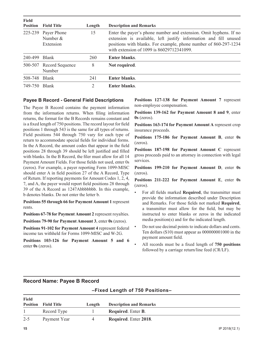| <b>Field</b>  | <b>Position</b> Field Title                    | Length | <b>Description and Remarks</b>                                                                                                                                                                                                                         |
|---------------|------------------------------------------------|--------|--------------------------------------------------------------------------------------------------------------------------------------------------------------------------------------------------------------------------------------------------------|
|               | 225-239 Payer Phone<br>Number $&$<br>Extension | 15     | Enter the payer's phone number and extension. Omit hyphens. If no<br>extension is available, left justify information and fill unused<br>positions with blanks. For example, phone number of 860-297-1234<br>with extension of 1099 is 86029712341099. |
| 240-499 Blank |                                                | 260    | Enter blanks.                                                                                                                                                                                                                                          |
|               | 500-507 Record Sequence<br>Number              | 8      | Not required.                                                                                                                                                                                                                                          |
| 508-748 Blank |                                                | 241    | <b>Enter blanks.</b>                                                                                                                                                                                                                                   |
| 749-750 Blank |                                                | 2      | Enter blanks.                                                                                                                                                                                                                                          |

#### **Payee B Record - General Field Descriptions**

The Payee B Record contains the payment information from the information returns. When filing information returns, the format for the B Records remains constant and is a fixed length of 750 positions. The record layout for field positions 1 through 543 is the same for all types of returns. Field positions 544 through 750 vary for each type of return to accommodate special fields for individual forms. In the A Record, the amount codes that appear in the field positions 28 through 39 should be left justified and filled with blanks. In the B Record, the filer must allow for all 14 Payment Amount Fields. For those fields not used, enter 0s (zeros). For example, a payer reporting Form 1099-MISC should enter A in field position 27 of the A Record, Type of Return. If reporting payments for Amount Codes 1, 2, 4, 7, and A, the payer would report field positions 28 through 39 of the A Record as 1247Abbbbbbb. In this example, b denotes blanks. Do not enter the letter b.

**Positions 55 through 66 for Payment Amount 1** represent rents.

**Positions 67-78 for Payment Amount 2** represent royalties.

**Positions 79-90 for Payment Amount 3**, enter **0s** (zeros).

**Positions 91-102 for Payment Amount 4** represent federal income tax withheld for Forms 1099-MISC and W-2G.

**Positions 103-126 for Payment Amount 5 and 6** enter **0s** (zeros).

**Positions 127-138 for Payment Amount 7** represent non-employee compensation.

**Positions 139-162 for Payment Amount 8 and 9**, enter **0s** (zeros).

**Positions 163-174 for Payment Amount A** represent crop insurance proceeds.

**Positions 175-186 for Payment Amount B**, enter **0s** (zeros).

**Positions 187-198 for Payment Amount C** represent gross proceeds paid to an attorney in connection with legal services.

**Positions 199-210 for Payment Amount D**, enter **0s** (zeros).

**Positions 211-222 for Payment Amount E**, enter **0s** (zeros).

- For all fields marked **Required**, the transmitter must provide the information described under Description and Remarks. For those fields not marked **Required**, a transmitter must allow for the field, but may be instructed to enter blanks or zeros in the indicated media position(s) and for the indicated length.
- Do not use decimal points to indicate dollars and cents. Ten dollars (\$10) must appear as 000000001000 in the payment amount field.
- All records must be a fixed length of **750 positions**  followed by a carriage return/line feed (CR/LF).

### **Record Name: Payee B Record**

#### **–Fixed Length of 750 Positions–**

| Field   |                             |        |                                   |
|---------|-----------------------------|--------|-----------------------------------|
|         | <b>Position</b> Field Title | Length | <b>Description and Remarks</b>    |
|         | Record Type                 |        | <b>Required.</b> Enter <b>B</b> . |
| $2 - 5$ | Payment Year                | 4      | Required. Enter 2018.             |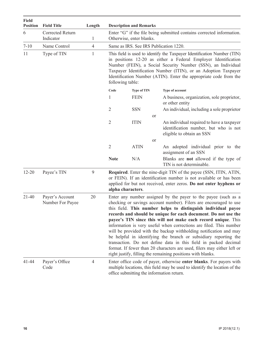| <b>Field</b><br><b>Position</b> | <b>Field Title</b>                  | Length         |                                                                                                   | <b>Description and Remarks</b>                                                                                                                                                                                                                                                                                                                                       |                                                                                                                                                                                                                                                                                                                                                                                                                                                                                                                                                                                                                                                                                                                                                                     |  |  |  |  |
|---------------------------------|-------------------------------------|----------------|---------------------------------------------------------------------------------------------------|----------------------------------------------------------------------------------------------------------------------------------------------------------------------------------------------------------------------------------------------------------------------------------------------------------------------------------------------------------------------|---------------------------------------------------------------------------------------------------------------------------------------------------------------------------------------------------------------------------------------------------------------------------------------------------------------------------------------------------------------------------------------------------------------------------------------------------------------------------------------------------------------------------------------------------------------------------------------------------------------------------------------------------------------------------------------------------------------------------------------------------------------------|--|--|--|--|
| 6                               | Corrected Return<br>Indicator       | 1              | Enter "G" if the file being submitted contains corrected information.<br>Otherwise, enter blanks. |                                                                                                                                                                                                                                                                                                                                                                      |                                                                                                                                                                                                                                                                                                                                                                                                                                                                                                                                                                                                                                                                                                                                                                     |  |  |  |  |
| $7 - 10$                        | Name Control                        | $\overline{4}$ | Same as IRS. See IRS Publication 1220.                                                            |                                                                                                                                                                                                                                                                                                                                                                      |                                                                                                                                                                                                                                                                                                                                                                                                                                                                                                                                                                                                                                                                                                                                                                     |  |  |  |  |
| 11                              | Type of TIN                         | $\mathbf{1}$   |                                                                                                   | This field is used to identify the Taxpayer Identification Number (TIN)<br>in positions 12-20 as either a Federal Employer Identification<br>Number (FEIN), a Social Security Number (SSN), an Individual<br>Taxpayer Identification Number (ITIN), or an Adoption Taxpayer<br>Identification Number (ATIN). Enter the appropriate code from the<br>following table: |                                                                                                                                                                                                                                                                                                                                                                                                                                                                                                                                                                                                                                                                                                                                                                     |  |  |  |  |
|                                 |                                     |                | Code                                                                                              | <b>Type of TIN</b>                                                                                                                                                                                                                                                                                                                                                   | Type of account                                                                                                                                                                                                                                                                                                                                                                                                                                                                                                                                                                                                                                                                                                                                                     |  |  |  |  |
|                                 |                                     |                | 1                                                                                                 | <b>FEIN</b>                                                                                                                                                                                                                                                                                                                                                          | A business, organization, sole proprietor,<br>or other entity                                                                                                                                                                                                                                                                                                                                                                                                                                                                                                                                                                                                                                                                                                       |  |  |  |  |
|                                 |                                     |                | 2                                                                                                 | <b>SSN</b>                                                                                                                                                                                                                                                                                                                                                           | An individual, including a sole proprietor<br><sub>or</sub>                                                                                                                                                                                                                                                                                                                                                                                                                                                                                                                                                                                                                                                                                                         |  |  |  |  |
|                                 |                                     |                | 2                                                                                                 | <b>ITIN</b>                                                                                                                                                                                                                                                                                                                                                          | An individual required to have a taxpayer<br>identification number, but who is not<br>eligible to obtain an SSN                                                                                                                                                                                                                                                                                                                                                                                                                                                                                                                                                                                                                                                     |  |  |  |  |
|                                 |                                     |                |                                                                                                   |                                                                                                                                                                                                                                                                                                                                                                      | <sub>or</sub>                                                                                                                                                                                                                                                                                                                                                                                                                                                                                                                                                                                                                                                                                                                                                       |  |  |  |  |
|                                 |                                     |                | $\overline{2}$                                                                                    | <b>ATIN</b>                                                                                                                                                                                                                                                                                                                                                          | An adopted individual prior to the<br>assignment of an SSN                                                                                                                                                                                                                                                                                                                                                                                                                                                                                                                                                                                                                                                                                                          |  |  |  |  |
|                                 |                                     |                | <b>Note</b>                                                                                       | N/A                                                                                                                                                                                                                                                                                                                                                                  | Blanks are <b>not</b> allowed if the type of<br>TIN is not determinable.                                                                                                                                                                                                                                                                                                                                                                                                                                                                                                                                                                                                                                                                                            |  |  |  |  |
| $12 - 20$                       | Payee's TIN                         | 9              |                                                                                                   | alpha characters.                                                                                                                                                                                                                                                                                                                                                    | <b>Required.</b> Enter the nine-digit TIN of the payee (SSN, ITIN, ATIN,<br>or FEIN). If an identification number is not available or has been<br>applied for but not received, enter zeros. Do not enter hyphens or                                                                                                                                                                                                                                                                                                                                                                                                                                                                                                                                                |  |  |  |  |
| $21 - 40$                       | Payer's Account<br>Number For Payee | 20             |                                                                                                   |                                                                                                                                                                                                                                                                                                                                                                      | Enter any number assigned by the payer to the payee (such as a<br>checking or savings account number). Filers are encouraged to use<br>this field. This number helps to distinguish individual payee<br>records and should be unique for each document. Do not use the<br>payee's TIN since this will not make each record unique. This<br>information is very useful when corrections are filed. This number<br>will be provided with the backup withholding notification and may<br>be helpful in identifying the branch or subsidiary reporting the<br>transaction. Do not define data in this field in packed decimal<br>format. If fewer than 20 characters are used, filers may either left or<br>right justify, filling the remaining positions with blanks. |  |  |  |  |
| 41-44                           | Payer's Office<br>Code              | $\overline{4}$ |                                                                                                   |                                                                                                                                                                                                                                                                                                                                                                      | Enter office code of payer, otherwise enter blanks. For payers with<br>multiple locations, this field may be used to identify the location of the<br>office submitting the information return.                                                                                                                                                                                                                                                                                                                                                                                                                                                                                                                                                                      |  |  |  |  |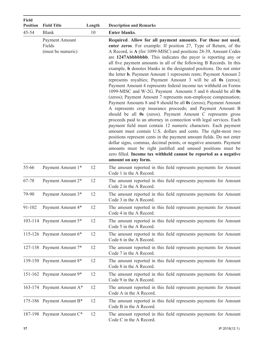| <b>Field</b><br><b>Position</b> | <b>Field Title</b>                            | Length | <b>Description and Remarks</b>                                                                                                                                                                                                                                                                                                                                                                                                                                                                                                                                                                                                                                                                                                                                                                                                                                                                                                                                                                                                                                                                                                                                                                                                                                                                                                                                                                                                                                                                            |
|---------------------------------|-----------------------------------------------|--------|-----------------------------------------------------------------------------------------------------------------------------------------------------------------------------------------------------------------------------------------------------------------------------------------------------------------------------------------------------------------------------------------------------------------------------------------------------------------------------------------------------------------------------------------------------------------------------------------------------------------------------------------------------------------------------------------------------------------------------------------------------------------------------------------------------------------------------------------------------------------------------------------------------------------------------------------------------------------------------------------------------------------------------------------------------------------------------------------------------------------------------------------------------------------------------------------------------------------------------------------------------------------------------------------------------------------------------------------------------------------------------------------------------------------------------------------------------------------------------------------------------------|
| $45 - 54$                       | <b>Blank</b>                                  | 10     | <b>Enter blanks.</b>                                                                                                                                                                                                                                                                                                                                                                                                                                                                                                                                                                                                                                                                                                                                                                                                                                                                                                                                                                                                                                                                                                                                                                                                                                                                                                                                                                                                                                                                                      |
|                                 | Payment Amount<br>Fields<br>(must be numeric) |        | Required. Allow for all payment amounts. For those not used,<br>enter zeros. For example: If position 27, Type of Return, of the<br>A Record, is A (for 1099-MISC) and positions 28-39, Amount Codes<br>are 1247Abbbbbbbb. This indicates the payer is reporting any or<br>all five payment amounts in all of the following B Records. In this<br>example, <b>b</b> denotes blanks in the designated positions. Do not enter<br>the letter <b>b</b> . Payment Amount 1 represents rents; Payment Amount 2<br>represents royalties; Payment Amount 3 will be all 0s (zeros);<br>Payment Amount 4 represents federal income tax withheld on Forms<br>1099-MISC and W-2G. Payment Amounts 5 and 6 should be all 0s<br>(zeros); Payment Amount 7 represents non-employee compensation;<br>Payment Amounts 8 and 9 should be all 0s (zeros); Payment Amount<br>A represents crop insurance proceeds; and Payment Amount B<br>should be all 0s (zeros). Payment Amount C represents gross<br>proceeds paid to an attorney in connection with legal services. Each<br>payment field must contain 12 numeric characters. Each payment<br>amount must contain U.S. dollars and cents. The right-most two<br>positions represent cents in the payment amount fields. Do not enter<br>dollar signs, commas, decimal points, or negative amounts. Payment<br>amounts must be right justified and unused positions must be<br>zero filled. Income tax withheld cannot be reported as a negative<br>amount on any form. |
| 55-66                           | Payment Amount 1*                             | 12     | The amount reported in this field represents payments for Amount<br>Code 1 in the A Record.                                                                                                                                                                                                                                                                                                                                                                                                                                                                                                                                                                                                                                                                                                                                                                                                                                                                                                                                                                                                                                                                                                                                                                                                                                                                                                                                                                                                               |
| 67-78                           | Payment Amount 2*                             | 12     | The amount reported in this field represents payments for Amount<br>Code 2 in the A Record.                                                                                                                                                                                                                                                                                                                                                                                                                                                                                                                                                                                                                                                                                                                                                                                                                                                                                                                                                                                                                                                                                                                                                                                                                                                                                                                                                                                                               |
| 79-90                           | Payment Amount 3*                             | 12     | The amount reported in this field represents payments for Amount<br>Code 3 in the A Record.                                                                                                                                                                                                                                                                                                                                                                                                                                                                                                                                                                                                                                                                                                                                                                                                                                                                                                                                                                                                                                                                                                                                                                                                                                                                                                                                                                                                               |
| 91-102                          | Payment Amount 4*                             | 12     | The amount reported in this field represents payments for Amount<br>Code 4 in the A Record.                                                                                                                                                                                                                                                                                                                                                                                                                                                                                                                                                                                                                                                                                                                                                                                                                                                                                                                                                                                                                                                                                                                                                                                                                                                                                                                                                                                                               |
|                                 | 103-114 Payment Amount 5*                     | 12     | The amount reported in this field represents payments for Amount<br>Code 5 in the A Record.                                                                                                                                                                                                                                                                                                                                                                                                                                                                                                                                                                                                                                                                                                                                                                                                                                                                                                                                                                                                                                                                                                                                                                                                                                                                                                                                                                                                               |
|                                 | 115-126 Payment Amount 6*                     | 12     | The amount reported in this field represents payments for Amount<br>Code 6 in the A Record.                                                                                                                                                                                                                                                                                                                                                                                                                                                                                                                                                                                                                                                                                                                                                                                                                                                                                                                                                                                                                                                                                                                                                                                                                                                                                                                                                                                                               |
|                                 | 127-138 Payment Amount 7*                     | 12     | The amount reported in this field represents payments for Amount<br>Code 7 in the A Record.                                                                                                                                                                                                                                                                                                                                                                                                                                                                                                                                                                                                                                                                                                                                                                                                                                                                                                                                                                                                                                                                                                                                                                                                                                                                                                                                                                                                               |
|                                 | 139-150 Payment Amount 8*                     | 12     | The amount reported in this field represents payments for Amount<br>Code 8 in the A Record.                                                                                                                                                                                                                                                                                                                                                                                                                                                                                                                                                                                                                                                                                                                                                                                                                                                                                                                                                                                                                                                                                                                                                                                                                                                                                                                                                                                                               |
|                                 | 151-162 Payment Amount 9*                     | 12     | The amount reported in this field represents payments for Amount<br>Code 9 in the A Record.                                                                                                                                                                                                                                                                                                                                                                                                                                                                                                                                                                                                                                                                                                                                                                                                                                                                                                                                                                                                                                                                                                                                                                                                                                                                                                                                                                                                               |
|                                 | 163-174 Payment Amount A*                     | 12     | The amount reported in this field represents payments for Amount<br>Code A in the A Record.                                                                                                                                                                                                                                                                                                                                                                                                                                                                                                                                                                                                                                                                                                                                                                                                                                                                                                                                                                                                                                                                                                                                                                                                                                                                                                                                                                                                               |
|                                 | 175-186 Payment Amount B*                     | 12     | The amount reported in this field represents payments for Amount<br>Code B in the A Record.                                                                                                                                                                                                                                                                                                                                                                                                                                                                                                                                                                                                                                                                                                                                                                                                                                                                                                                                                                                                                                                                                                                                                                                                                                                                                                                                                                                                               |
|                                 | 187-198 Payment Amount C*                     | 12     | The amount reported in this field represents payments for Amount<br>Code C in the A Record.                                                                                                                                                                                                                                                                                                                                                                                                                                                                                                                                                                                                                                                                                                                                                                                                                                                                                                                                                                                                                                                                                                                                                                                                                                                                                                                                                                                                               |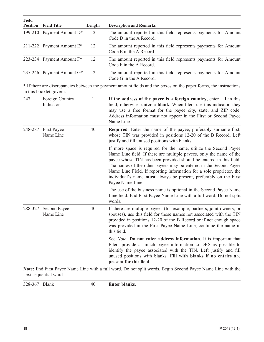| Field | <b>Position</b> Field Title  | Length | <b>Description and Remarks</b>                                                              |
|-------|------------------------------|--------|---------------------------------------------------------------------------------------------|
|       | 199-210 Payment Amount $D^*$ | 12     | The amount reported in this field represents payments for Amount<br>Code D in the A Record. |
|       | 211-222 Payment Amount $E^*$ | 12     | The amount reported in this field represents payments for Amount<br>Code E in the A Record. |
|       | 223-234 Payment Amount $F^*$ | 12     | The amount reported in this field represents payments for Amount<br>Code F in the A Record. |
|       | 235-246 Payment Amount $G^*$ | 12     | The amount reported in this field represents payments for Amount<br>Code G in the A Record. |

\* If there are discrepancies between the payment amount fields and the boxes on the paper forms, the instructions in this booklet govern.

| 247     | Foreign Country<br>Indicator     | 1  | If the address of the payee is a foreign country, enter a 1 in this<br>field; otherwise, enter a blank. When filers use this indicator, they<br>may use a free format for the payee city, state, and ZIP code.<br>Address information must not appear in the First or Second Payee<br>Name Line.                                                                                                                                                   |
|---------|----------------------------------|----|----------------------------------------------------------------------------------------------------------------------------------------------------------------------------------------------------------------------------------------------------------------------------------------------------------------------------------------------------------------------------------------------------------------------------------------------------|
| 248-287 | <b>First Payee</b><br>Name Line  | 40 | Required. Enter the name of the payee, preferably surname first,<br>whose TIN was provided in positions 12-20 of the B Record. Left<br>justify and fill unused positions with blanks.                                                                                                                                                                                                                                                              |
|         |                                  |    | If more space is required for the name, utilize the Second Payee<br>Name Line field. If there are multiple payees, only the name of the<br>payee whose TIN has been provided should be entered in this field.<br>The names of the other payees may be entered in the Second Payee<br>Name Line Field. If reporting information for a sole proprietor, the<br>individual's name must always be present, preferably on the First<br>Payee Name Line. |
|         |                                  |    | The use of the business name is optional in the Second Payee Name<br>Line field. End First Payee Name Line with a full word. Do not split<br>words.                                                                                                                                                                                                                                                                                                |
| 288-327 | <b>Second Payee</b><br>Name Line | 40 | If there are multiple payees (for example, partners, joint owners, or<br>spouses), use this field for those names not associated with the TIN<br>provided in positions 12-20 of the B Record or if not enough space<br>was provided in the First Payee Name Line, continue the name in<br>this field.                                                                                                                                              |
|         |                                  |    | See <i>Note</i> . <b>Do not enter address information</b> . It is important that<br>Filers provide as much payee information to DRS as possible to<br>identify the payee associated with the TIN. Left justify and fill<br>unused positions with blanks. Fill with blanks if no entries are<br>present for this field.                                                                                                                             |

**Note:** End First Payee Name Line with a full word. Do not split words. Begin Second Payee Name Line with the next sequential word.

328-367 Blank 40 **Enter blanks**.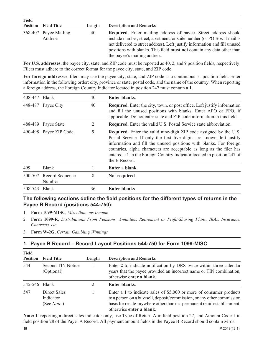| <b>Field</b>    |                                  |        |                                                                                                                                                                                                                                                                                                                                                   |  |  |  |
|-----------------|----------------------------------|--------|---------------------------------------------------------------------------------------------------------------------------------------------------------------------------------------------------------------------------------------------------------------------------------------------------------------------------------------------------|--|--|--|
| <b>Position</b> | <b>Field Title</b>               | Length | <b>Description and Remarks</b>                                                                                                                                                                                                                                                                                                                    |  |  |  |
|                 | 368-407 Payee Mailing<br>Address | 40     | <b>Required.</b> Enter mailing address of payee. Street address should<br>include number, street, apartment, or suite number (or PO Box if mail is<br>not delivered to street address). Left justify information and fill unused<br>positions with blanks. This field <b>must not</b> contain any data other than<br>the payee's mailing address. |  |  |  |

**For U**.**S**. **addresses**, the payee city, state, and ZIP code must be reported as 40, 2, and 9 position fields, respectively. Filers must adhere to the correct format for the payee city, state, and ZIP code.

**For foreign addresses**, filers may use the payee city, state, and ZIP code as a continuous 51 position field. Enter information in the following order: city, province or state, postal code, and the name of the country. When reporting a foreign address, the Foreign Country Indicator located in position 247 must contain a **1**.

| 408-447 Blank |                           | 40 | <b>Enter blanks.</b>                                                                                                                                                                                                                                                                                                                                                                        |
|---------------|---------------------------|----|---------------------------------------------------------------------------------------------------------------------------------------------------------------------------------------------------------------------------------------------------------------------------------------------------------------------------------------------------------------------------------------------|
|               | 448-487 Payee City        | 40 | <b>Required.</b> Enter the city, town, or post office. Left justify information<br>and fill the unused positions with blanks. Enter APO or FPO, if<br>applicable. Do not enter state and ZIP code information in this field.                                                                                                                                                                |
|               | 488-489 Payee State       | 2  | <b>Required.</b> Enter the valid U.S. Postal Service state abbreviation.                                                                                                                                                                                                                                                                                                                    |
|               | 490-498 Payee ZIP Code    | 9  | <b>Required.</b> Enter the valid nine-digit ZIP code assigned by the U.S.<br>Postal Service. If only the first five digits are known, left justify<br>information and fill the unused positions with blanks. For foreign<br>countries, alpha characters are acceptable as long as the filer has<br>entered a 1 in the Foreign Country Indicator located in position 247 of<br>the B Record. |
| 499           | <b>Blank</b>              |    | Enter a blank.                                                                                                                                                                                                                                                                                                                                                                              |
| 500-507       | Record Sequence<br>Number | 8  | Not required.                                                                                                                                                                                                                                                                                                                                                                               |
| 508-543       | <b>Blank</b>              | 36 | <b>Enter blanks.</b>                                                                                                                                                                                                                                                                                                                                                                        |

### **The following sections define the field positions for the different types of returns in the Payee B Record (positions 544-750):**

- 1. **Form 1099-MISC**, *Miscellaneous Income*
- 2. **Form 1099-R**, *Distributions From Pensions, Annuities, Retirement or Profit-Sharing Plans, IRAs, Insurance, Contracts, etc.*
- 3. **Form W-2G**, *Certain Gambling Winnings*

### **1. Payee B Record – Record Layout Positions 544-750 for Form 1099-MISC**

| Field<br><b>Position</b> | <b>Field Title</b>                               | Length | <b>Description and Remarks</b>                                                                                                                                                                                                                         |
|--------------------------|--------------------------------------------------|--------|--------------------------------------------------------------------------------------------------------------------------------------------------------------------------------------------------------------------------------------------------------|
| 544                      | Second TIN Notice<br>(Optional)                  |        | Enter 2 to indicate notification by DRS twice within three calendar<br>years that the payee provided an incorrect name or TIN combination,<br>otherwise enter a blank.                                                                                 |
| 545-546                  | Blank                                            |        | <b>Enter blanks.</b>                                                                                                                                                                                                                                   |
| 547                      | Direct Sales<br>Indicator<br>(See <i>Note</i> .) |        | Enter a 1 to indicate sales of \$5,000 or more of consumer products<br>to a person on a buy/sell, deposit/commission, or any other commission<br>basis for resale anywhere other than in a permanent retail establishment,<br>otherwise enter a blank. |

**Note:** If reporting a direct sales indicator only, use Type of Return A in field position 27, and Amount Code 1 in field position 28 of the Payer A Record. All payment amount fields in the Payee B Record should contain zeros.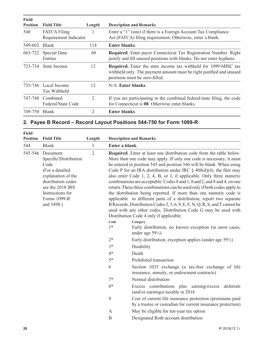| <b>Field</b><br><b>Position</b> | <b>Field Title</b>                           | Length | <b>Description and Remarks</b>                                                                                                                                                   |
|---------------------------------|----------------------------------------------|--------|----------------------------------------------------------------------------------------------------------------------------------------------------------------------------------|
| 548                             | <b>FATCA Filing</b><br>Requirement Indicator |        | Enter a "1" (one) if there is a Foreign Account Tax Compliance<br>Act (FATCA) filing requirement. Otherwise, enter a blank.                                                      |
| 549-662                         | <b>Blank</b>                                 | 114    | Enter blanks.                                                                                                                                                                    |
| 663-722                         | Special Data<br>Entries                      | 60     | <b>Required.</b> Enter payer Connecticut Tax Registration Number. Right<br>justify and fill unused positions with blanks. Do not enter hyphens.                                  |
| 723-734                         | State Income                                 | 12     | <b>Required.</b> Enter the state income tax withheld for 1099-MISC tax<br>withheld only. The payment amount must be right justified and unused<br>positions must be zero-filled. |
|                                 | 735-746 Local Income<br><b>Tax Withheld</b>  | 12     | N/A. Enter blanks.                                                                                                                                                               |
| 747-748                         | Combined<br>Federal/State Code               | 2      | If you are participating in the combined federal/state filing, the code<br>for Connecticut is 08. Otherwise enter blanks.                                                        |
| 749-750                         | <b>Blank</b>                                 | 2      | <b>Enter blanks.</b>                                                                                                                                                             |

### **2. Payee B Record – Record Layout Positions 544-750 for Form 1099-R**

| <b>Field</b><br><b>Position</b> | <b>Field Title</b>                                                                                                                                                                               | Length       |                                                                                                                                                                                                                                                                                                                                                                                                                                                                                                                                                                                                                                                                                                                                                                                                                                                                          | <b>Description and Remarks</b>                                                                                          |
|---------------------------------|--------------------------------------------------------------------------------------------------------------------------------------------------------------------------------------------------|--------------|--------------------------------------------------------------------------------------------------------------------------------------------------------------------------------------------------------------------------------------------------------------------------------------------------------------------------------------------------------------------------------------------------------------------------------------------------------------------------------------------------------------------------------------------------------------------------------------------------------------------------------------------------------------------------------------------------------------------------------------------------------------------------------------------------------------------------------------------------------------------------|-------------------------------------------------------------------------------------------------------------------------|
| 544                             | <b>Blank</b>                                                                                                                                                                                     | $\mathbf{1}$ | Enter a blank.                                                                                                                                                                                                                                                                                                                                                                                                                                                                                                                                                                                                                                                                                                                                                                                                                                                           |                                                                                                                         |
| 545-546                         | $\overline{2}$<br>Document<br>Specific/Distribution<br>Code<br>(For a detailed<br>explanation of the<br>distribution codes<br>see the 2018 IRS<br>Instructions for<br>Forms 1099-R<br>and 5498.) |              | Required. Enter at least one distribution code from the table below.<br>More than one code may apply. If only one code is necessary, it must<br>be entered in position 545 and position 546 will be blank. When using<br>Code P for an IRA distribution under IRC $\S$ 408(d)(4), the filer may<br>also enter Code 1, 2, 4, B, or J, if applicable. Only three numeric<br>combinations are acceptable: Codes 8 and 1, 8 and 2, and 8 and 4, on one<br>return. These three combinations can be used only if both codes apply to<br>the distribution being reported. If more than one numeric code is<br>applicable to different parts of a distribution, report two separate<br>B Records. Distribution Codes 3, 5, 6, 9, E, F, N, Q, R, S, and T cannot be<br>used with any other codes. Distribution Code G may be used with<br>Distribution Code 4 only if applicable. |                                                                                                                         |
|                                 |                                                                                                                                                                                                  |              | Code<br>$1*$                                                                                                                                                                                                                                                                                                                                                                                                                                                                                                                                                                                                                                                                                                                                                                                                                                                             | Category<br>Early distribution, no known exception (in most cases,<br>under age $59\frac{1}{2}$                         |
|                                 |                                                                                                                                                                                                  |              | $2*$                                                                                                                                                                                                                                                                                                                                                                                                                                                                                                                                                                                                                                                                                                                                                                                                                                                                     | Early distribution, exception applies (under age $59\frac{1}{2}$ )                                                      |
|                                 |                                                                                                                                                                                                  |              | $3*$                                                                                                                                                                                                                                                                                                                                                                                                                                                                                                                                                                                                                                                                                                                                                                                                                                                                     | Disability                                                                                                              |
|                                 |                                                                                                                                                                                                  |              | $4*$                                                                                                                                                                                                                                                                                                                                                                                                                                                                                                                                                                                                                                                                                                                                                                                                                                                                     | Death                                                                                                                   |
|                                 |                                                                                                                                                                                                  |              | $5*$                                                                                                                                                                                                                                                                                                                                                                                                                                                                                                                                                                                                                                                                                                                                                                                                                                                                     | Prohibited transaction                                                                                                  |
|                                 |                                                                                                                                                                                                  |              | 6                                                                                                                                                                                                                                                                                                                                                                                                                                                                                                                                                                                                                                                                                                                                                                                                                                                                        | Section 1035 exchange (a tax-free exchange of life<br>insurance, annuity, or endowment contracts)                       |
|                                 |                                                                                                                                                                                                  |              | $7*$                                                                                                                                                                                                                                                                                                                                                                                                                                                                                                                                                                                                                                                                                                                                                                                                                                                                     | Normal distribution                                                                                                     |
|                                 |                                                                                                                                                                                                  |              | 8*                                                                                                                                                                                                                                                                                                                                                                                                                                                                                                                                                                                                                                                                                                                                                                                                                                                                       | Excess contributions plus earning/excess<br>deferrals<br>(and/or earnings) taxable in 2018                              |
|                                 |                                                                                                                                                                                                  |              | 9                                                                                                                                                                                                                                                                                                                                                                                                                                                                                                                                                                                                                                                                                                                                                                                                                                                                        | Cost of current life insurance protection (premiums paid<br>by a trustee or custodian for current insurance protection) |
|                                 |                                                                                                                                                                                                  |              | $\mathbf{A}$                                                                                                                                                                                                                                                                                                                                                                                                                                                                                                                                                                                                                                                                                                                                                                                                                                                             | May be eligible for ten-year tax option                                                                                 |
|                                 |                                                                                                                                                                                                  |              | $\mathbf B$                                                                                                                                                                                                                                                                                                                                                                                                                                                                                                                                                                                                                                                                                                                                                                                                                                                              | Designated Roth account distribution                                                                                    |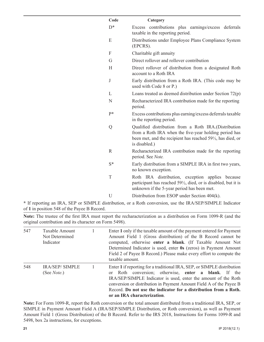|                                | Code                                                             | Category                                                                                                                                                                                                                                                                                         |
|--------------------------------|------------------------------------------------------------------|--------------------------------------------------------------------------------------------------------------------------------------------------------------------------------------------------------------------------------------------------------------------------------------------------|
|                                | $D^*$                                                            | Excess contributions plus earnings/excess deferrals<br>taxable in the reporting period.                                                                                                                                                                                                          |
|                                | E                                                                | Distributions under Employee Plans Compliance System<br>(EPCRS).                                                                                                                                                                                                                                 |
|                                | F                                                                | Charitable gift annuity                                                                                                                                                                                                                                                                          |
|                                | G                                                                | Direct rollover and rollover contribution                                                                                                                                                                                                                                                        |
|                                | H                                                                | Direct rollover of distribution from a designated Roth<br>account to a Roth IRA                                                                                                                                                                                                                  |
|                                | $\bf J$                                                          | Early distribution from a Roth IRA. (This code may be<br>used with Code 8 or P.)                                                                                                                                                                                                                 |
|                                | L                                                                | Loans treated as deemed distribution under Section $72(p)$                                                                                                                                                                                                                                       |
|                                | N                                                                | Recharacterized IRA contribution made for the reporting<br>period.                                                                                                                                                                                                                               |
|                                | p*                                                               | Excess contributions plus earning/excess deferrals taxable<br>in the reporting period.                                                                                                                                                                                                           |
|                                | Q                                                                | Qualified distribution from a Roth IRA.(Distribution<br>from a Roth IRA when the five-year holding period has<br>been met, and the recipient has reached 59 <sup>1</sup> / <sub>2</sub> , has died, or<br>is disabled.)                                                                          |
|                                | $\mathbb{R}$                                                     | Recharacterized IRA contribution made for the reporting<br>period. See Note.                                                                                                                                                                                                                     |
|                                | $S^*$                                                            | Early distribution from a SIMPLE IRA in first two years,<br>no known exception.                                                                                                                                                                                                                  |
|                                | T                                                                | Roth IRA distribution, exception applies because<br>participant has reached 59 <sup>1</sup> / <sub>2</sub> , died, or is disabled, but it is<br>unknown if the 5-year period has been met.                                                                                                       |
|                                | U                                                                | Distribution from ESOP under Section 404(k).                                                                                                                                                                                                                                                     |
| <b>&amp; TC</b><br>TD A<br>GCD | $\mathbf{1}$ $\mathbf{1}$ $\mathbf{1}$ $\mathbf{1}$ $\mathbf{1}$ | $\mathbf{A}$ and $\mathbf{A}$ and $\mathbf{A}$ and $\mathbf{A}$ and $\mathbf{A}$ and $\mathbf{A}$ and $\mathbf{A}$ and $\mathbf{A}$ and $\mathbf{A}$ and $\mathbf{A}$ and $\mathbf{A}$ and $\mathbf{A}$ and $\mathbf{A}$ and $\mathbf{A}$ and $\mathbf{A}$ and $\mathbf{A}$ and $\mathbf{A}$ and |

**\*** If reporting an IRA, SEP or SIMPLE distribution, or a Roth conversion, use the IRA/SEP/SIMPLE Indicator of **1** in position 548 of the Payee B Record.

**Note:** The trustee of the first IRA must report the recharacterization as a distribution on Form 1099-R (and the original contribution and its character on Form 5498).

| 547 | Taxable Amount<br>Not Determined<br>Indicator | Enter 1 only if the taxable amount of the payment entered for Payment<br>Amount Field 1 (Gross distribution) of the B Record cannot be<br>computed, otherwise enter a blank. (If Taxable Amount Not<br>Determined Indicator is used, enter 0s (zeros) in Payment Amount<br>Field 2 of Payee B Record.) Please make every effort to compute the<br>taxable amount.                    |
|-----|-----------------------------------------------|--------------------------------------------------------------------------------------------------------------------------------------------------------------------------------------------------------------------------------------------------------------------------------------------------------------------------------------------------------------------------------------|
| 548 | <b>IRA/SEP/ SIMPLE</b><br>(See <i>Note</i> .) | Enter 1 if reporting for a traditional IRA, SEP, or SIMPLE distribution<br>Roth conversion; otherwise, enter a blank. If the<br>$\alpha$<br>IRA/SEP/SIMPLE Indicator is used, enter the amount of the Roth<br>conversion or distribution in Payment Amount Field A of the Payee B<br>Record. Do not use the indicator for a distribution from a Roth.<br>or an IRA characterization. |

**Note:** For Form 1099-R, report the Roth conversion or the total amount distributed from a traditional IRA, SEP, or SIMPLE in Payment Amount Field A (IRA/SEP/SIMPLE Distribution, or Roth conversion), as well as Payment Amount Field 1 (Gross Distribution) of the B Record. Refer to the IRS 2018, Instructions for Forms 1099-R and 5498, box 2a instructions, for exceptions.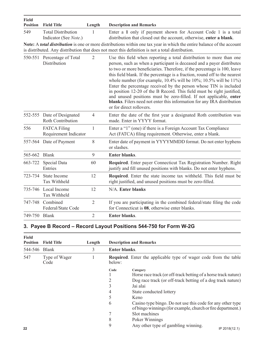| <b>Field</b><br><b>Position</b> | <b>Field Title</b>                                 | Length         | <b>Description and Remarks</b>                                                                                                                                                                                                                                                                                                                                                                                                                                                                                                                                                                                                                                                                                         |
|---------------------------------|----------------------------------------------------|----------------|------------------------------------------------------------------------------------------------------------------------------------------------------------------------------------------------------------------------------------------------------------------------------------------------------------------------------------------------------------------------------------------------------------------------------------------------------------------------------------------------------------------------------------------------------------------------------------------------------------------------------------------------------------------------------------------------------------------------|
| 549                             | <b>Total Distribution</b><br>Indicator (See Note.) | 1              | Enter a 1 only if payment shown for Account Code 1 is a total<br>distribution that closed out the account, otherwise, enter a blank.<br>Note: A total distribution is one or more distributions within one tax year in which the entire balance of the account<br>is distributed. Any distribution that does not meet this definition is not a total distribution.                                                                                                                                                                                                                                                                                                                                                     |
|                                 | 550-551 Percentage of Total<br>Distribution        | $\overline{2}$ | Use this field when reporting a total distribution to more than one<br>person, such as when a participant is deceased and a payer distributes<br>to two or more beneficiaries. Therefore, if the percentage is 100, leave<br>this field blank. If the percentage is a fraction, round off to the nearest<br>whole number (for example, $10.4\%$ will be $10\%$ ; $10.5\%$ will be $11\%$ )<br>Enter the percentage received by the person whose TIN is included<br>in position 12-20 of the B Record. This field must be right justified,<br>and unused positions must be zero-filled. If not applicable, enter<br>blanks. Filers need not enter this information for any IRA distribution<br>or for direct rollovers. |
|                                 | 552-555 Date of Designated<br>Roth Contribution    | $\overline{4}$ | Enter the date of the first year a designated Roth contribution was<br>made. Enter in YYYY format.                                                                                                                                                                                                                                                                                                                                                                                                                                                                                                                                                                                                                     |
| 556                             | <b>FATCA Filing</b><br>Requirement Indicator       | $\mathbf{1}$   | Enter a "1" (one) if there is a Foreign Account Tax Compliance<br>Act (FATCA) filing requirement. Otherwise, enter a blank.                                                                                                                                                                                                                                                                                                                                                                                                                                                                                                                                                                                            |
|                                 | 557-564 Date of Payment                            | 8              | Enter date of payment in YYYYMMDD format. Do not enter hyphens<br>or slashes.                                                                                                                                                                                                                                                                                                                                                                                                                                                                                                                                                                                                                                          |
| 565-662 Blank                   |                                                    | 9              | <b>Enter blanks.</b>                                                                                                                                                                                                                                                                                                                                                                                                                                                                                                                                                                                                                                                                                                   |
| 663-722                         | Special Data<br>Entries                            | 60             | Required. Enter payer Connecticut Tax Registration Number. Right<br>justify and fill unused positions with blanks. Do not enter hyphens.                                                                                                                                                                                                                                                                                                                                                                                                                                                                                                                                                                               |
| 723-734                         | State Income<br>Tax Withheld                       | 12             | Required. Enter the state income tax withheld. This field must be<br>right justified, and unused positions must be zero-filled.                                                                                                                                                                                                                                                                                                                                                                                                                                                                                                                                                                                        |
| 735-746                         | Local Income<br>Tax Withheld                       | 12             | N/A. Enter blanks                                                                                                                                                                                                                                                                                                                                                                                                                                                                                                                                                                                                                                                                                                      |
| 747-748                         | Combined<br>Federal/State Code                     | $\overline{2}$ | If you are participating in the combined federal/state filing the code<br>for Connecticut is 08, otherwise enter blanks.                                                                                                                                                                                                                                                                                                                                                                                                                                                                                                                                                                                               |
| 749-750 Blank                   |                                                    | $\overline{2}$ | Enter blanks.                                                                                                                                                                                                                                                                                                                                                                                                                                                                                                                                                                                                                                                                                                          |

### **3. Payee B Record – Record Layout Positions 544-750 for Form W-2G**

| <b>Field</b><br><b>Position</b> | <b>Field Title</b>                    | Length | <b>Description and Remarks</b>                                          |                                                                                                                           |  |  |
|---------------------------------|---------------------------------------|--------|-------------------------------------------------------------------------|---------------------------------------------------------------------------------------------------------------------------|--|--|
| 544-546                         | <b>Blank</b><br>Type of Wager<br>Code | 3      | Enter blanks.                                                           |                                                                                                                           |  |  |
| 547                             |                                       | below: | <b>Required.</b> Enter the applicable type of wager code from the table |                                                                                                                           |  |  |
|                                 |                                       |        | Code                                                                    | Category                                                                                                                  |  |  |
|                                 |                                       |        |                                                                         | Horse race track (or off-track betting of a horse track nature)                                                           |  |  |
|                                 |                                       |        | 2                                                                       | Dog race track (or off-track betting of a dog track nature)                                                               |  |  |
|                                 |                                       |        | 3                                                                       | Jai alai                                                                                                                  |  |  |
|                                 |                                       |        | 4                                                                       | State conducted lottery                                                                                                   |  |  |
|                                 |                                       |        | 5                                                                       | Keno                                                                                                                      |  |  |
|                                 |                                       |        | 6                                                                       | Casino type bingo. Do not use this code for any other type<br>of bingo winnings (for example, church or fire department.) |  |  |
|                                 |                                       |        | 7                                                                       | Slot machines                                                                                                             |  |  |
|                                 |                                       |        | 8                                                                       | Poker Winnings                                                                                                            |  |  |
| 22                              |                                       |        | 9                                                                       | Any other type of gambling winning.<br>IP 2018(12.1)                                                                      |  |  |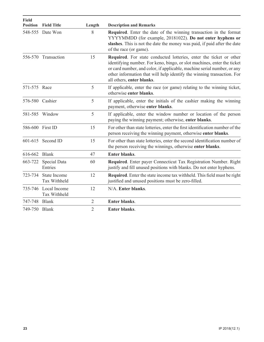| <b>Field</b><br><b>Position</b> | <b>Field Title</b>                          | Length | <b>Description and Remarks</b>                                                                                                                                                                                                                                                                                                  |
|---------------------------------|---------------------------------------------|--------|---------------------------------------------------------------------------------------------------------------------------------------------------------------------------------------------------------------------------------------------------------------------------------------------------------------------------------|
|                                 | 548-555 Date Won                            | 8      | Required. Enter the date of the winning transaction in the format<br>YYYYMMDD (for example, 20181022). Do not enter hyphens or<br>slashes. This is not the date the money was paid, if paid after the date<br>of the race (or game).                                                                                            |
|                                 | 556-570 Transaction                         | 15     | Required. For state conducted lotteries, enter the ticket or other<br>identifying number. For keno, bingo, or slot machines, enter the ticket<br>or card number, and color, if applicable, machine serial number, or any<br>other information that will help identify the winning transaction. For<br>all others, enter blanks. |
| 571-575 Race                    |                                             | 5      | If applicable, enter the race (or game) relating to the winning ticket,<br>otherwise enter blanks.                                                                                                                                                                                                                              |
|                                 | 576-580 Cashier                             | 5      | If applicable, enter the initials of the cashier making the winning<br>payment, otherwise enter blanks.                                                                                                                                                                                                                         |
|                                 | 581-585 Window                              | 5      | If applicable, enter the window number or location of the person<br>paying the winning payment; otherwise, enter blanks.                                                                                                                                                                                                        |
|                                 | 586-600 First ID                            | 15     | For other than state lotteries, enter the first identification number of the<br>person receiving the winning payment, otherwise enter blanks.                                                                                                                                                                                   |
|                                 | 601-615 Second ID                           | 15     | For other than state lotteries, enter the second identification number of<br>the person receiving the winnings, otherwise enter blanks.                                                                                                                                                                                         |
| 616-662                         | <b>Blank</b>                                | 47     | <b>Enter blanks.</b>                                                                                                                                                                                                                                                                                                            |
| 663-722                         | Special Data<br>Entries                     | 60     | Required. Enter payer Connecticut Tax Registration Number. Right<br>justify and fill unused positions with blanks. Do not enter hyphens.                                                                                                                                                                                        |
| 723-734                         | State Income<br><b>Tax Withheld</b>         | 12     | <b>Required.</b> Enter the state income tax withheld. This field must be right<br>justified and unused positions must be zero-filled.                                                                                                                                                                                           |
|                                 | 735-746 Local Income<br><b>Tax Withheld</b> | 12     | N/A. Enter blanks.                                                                                                                                                                                                                                                                                                              |
| 747-748 Blank                   |                                             | 2      | <b>Enter blanks.</b>                                                                                                                                                                                                                                                                                                            |
| 749-750 Blank                   |                                             | 2      | <b>Enter blanks.</b>                                                                                                                                                                                                                                                                                                            |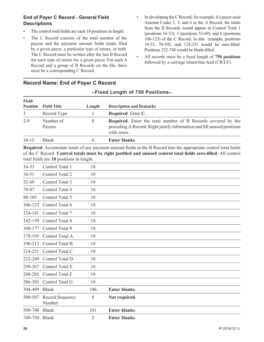### **End of Payer C Record - General Field Descriptions**

- The control total fields are each 18 positions in length.
- The C Record consists of the total number of the payees and the payment amount fields totals, filed by a given payer, a particular type of return, or both. The C Record must be written after the last B Record for each type of return for a given payer. For each A Record and a group of B Records on the file, there must be a corresponding C Record.
- In developing the C Record, for example, if a payer used Amount Codes 1, 3, and 6 in the A Record, the totals from the B Records would appear in Control Total 1 (positions 16-33), 3 (positions 52-69), and 6 (positions 106-123) of the C Record. In this example, positions 34-51, 70-105, and 124-231 would be zero-filled. Positions 232-748 would be blank-filled.
- All records must be a fixed length of **750 positions** followed by a carriage return/line feed (CR/LF).

| <b>Field</b>    |                     |        |                                                                                                                                                               |
|-----------------|---------------------|--------|---------------------------------------------------------------------------------------------------------------------------------------------------------------|
| <b>Position</b> | <b>Field Title</b>  | Length | <b>Description and Remarks</b>                                                                                                                                |
|                 | Record Type         |        | Required. Enter C.                                                                                                                                            |
| $2 - 9$         | Number of<br>Payees | 8      | <b>Required.</b> Enter the total number of B Records covered by the<br>preceding A Record. Right justify information and fill unused positions<br>with zeros. |
| $10 - 15$       | <b>Blank</b>        |        | <b>Enter blanks.</b>                                                                                                                                          |

**–Fixed Length of 750 Positions–**

### **Record Name: End of Payer C Record**

**Required**. Accumulate totals of any payment amount fields in the B Record into the appropriate control total fields of the C Record. **Control totals must be right justified and unused control total fields zero-filled**. All control total fields are **18** positions in length.

| $16 - 33$ | Control Total 1           | 18  |                      |  |  |
|-----------|---------------------------|-----|----------------------|--|--|
| $34 - 51$ | Control Total 2           | 18  |                      |  |  |
| 52-69     | Control Total 3           | 18  |                      |  |  |
| 70-87     | Control Total 4           | 18  |                      |  |  |
| 88-105    | Control Total 5           | 18  |                      |  |  |
| 106-123   | Control Total 6           | 18  |                      |  |  |
| 124-141   | Control Total 7           | 18  |                      |  |  |
| 142-159   | Control Total 8           | 18  |                      |  |  |
| 160-177   | Control Total 9           | 18  |                      |  |  |
| 178-195   | Control Total A           | 18  |                      |  |  |
| 196-213   | Control Total B           | 18  |                      |  |  |
| 214-231   | Control Total C           | 18  |                      |  |  |
| 232-249   | Control Total D           | 18  |                      |  |  |
| 250-267   | Control Total E           | 18  |                      |  |  |
| 268-285   | Control Total F           | 18  |                      |  |  |
| 286-303   | Control Total G           | 18  |                      |  |  |
| 304-499   | <b>Blank</b>              | 196 | <b>Enter blanks.</b> |  |  |
| 500-507   | Record Sequence<br>Number | 8   | Not required.        |  |  |
| 508-748   | <b>Blank</b>              | 241 | <b>Enter blanks.</b> |  |  |
| 749-750   | <b>Blank</b>              | 2   | <b>Enter blanks.</b> |  |  |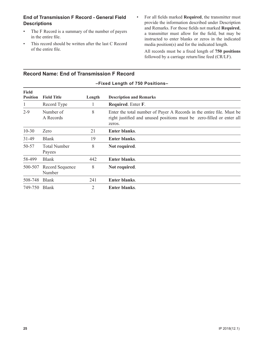### **End of Transmission F Record - General Field Descriptions**

- The F Record is a summary of the number of payers in the entire file.
- This record should be written after the last C Record of the entire file.
- For all fields marked **Required**, the transmitter must provide the information described under Description and Remarks. For those fields not marked **Required**, a transmitter must allow for the field, but may be instructed to enter blanks or zeros in the indicated media position(s) and for the indicated length.

All records must be a fixed length of **750 positions**  followed by a carriage return/line feed (CR/LF).

| Field<br><b>Position</b> | <b>Field Title</b>            | Length | <b>Description and Remarks</b>                                                                                                                           |
|--------------------------|-------------------------------|--------|----------------------------------------------------------------------------------------------------------------------------------------------------------|
| 1                        | Record Type                   |        | Required. Enter F.                                                                                                                                       |
| $2 - 9$                  | Number of<br>A Records        | 8      | Enter the total number of Payer A Records in the entire file. Must be<br>right justified and unused positions must be zero-filled or enter all<br>zeros. |
| $10 - 30$                | Zero                          | 21     | <b>Enter blanks.</b>                                                                                                                                     |
| $31 - 49$                | <b>Blank</b>                  | 19     | <b>Enter blanks.</b>                                                                                                                                     |
| 50-57                    | <b>Total Number</b><br>Payees | 8      | Not required.                                                                                                                                            |
| 58-499                   | <b>Blank</b>                  | 442    | <b>Enter blanks.</b>                                                                                                                                     |
| 500-507                  | Record Sequence<br>Number     | 8      | Not required.                                                                                                                                            |
| 508-748                  | <b>Blank</b>                  | 241    | <b>Enter blanks.</b>                                                                                                                                     |
| 749-750                  | <b>Blank</b>                  | 2      | <b>Enter blanks.</b>                                                                                                                                     |

**–Fixed Length of 750 Positions–**

### **Record Name: End of Transmission F Record**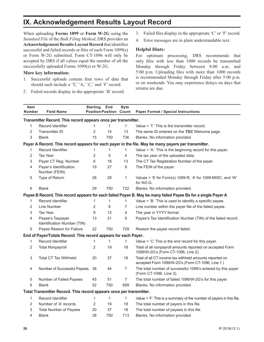### **IX. Acknowledgement Results Layout Record**

When uploading **Forms 1099** or **Form W-2G** using the *Standard File* of the *Bulk Filing Method*, DRS provides an **Acknowledgement Results Layout Record** that identifies successful and failed records or files of each Form 1099(s) or Form W-2G submitted. Form CT-1096 will only be accepted by DRS if all values equal the number of all the successfully uploaded Forms 1099(s) or W-2G.

#### **More key information:**

- 1. Successful uploads contain four rows of data that should each include a 'T,' 'A,' 'C,' and 'F' record.
- 2. Failed records display in the appropriate 'B' record.
- 3. Failed files display in the appropriate 'C' or 'F' record.
- 4. Error messages are in plain understandable text.

#### **Helpful Hints:**

For optimum processing, DRS recommends that only files with less than 1000 records be transmitted Monday through Friday between 8:00 a.m. and 5:00 p.m. Uploading files with more than 1000 records is recommended Monday through Friday after 5:00 p.m. or on weekends. You may experience delays on days that returns are due.

| <b>Item</b><br><b>Number</b>                                        | <b>Field Name</b>                                               | <b>Starting</b><br><b>Position Position</b> | End          | <b>Byte</b><br>Count | <b>Paper Format / Special Instructions</b>                                                                    |  |
|---------------------------------------------------------------------|-----------------------------------------------------------------|---------------------------------------------|--------------|----------------------|---------------------------------------------------------------------------------------------------------------|--|
| Transmitter Record. This record appears once per transmitter.       |                                                                 |                                             |              |                      |                                                                                                               |  |
| $\mathbf{1}$                                                        | Record Identifier                                               | 1                                           | $\mathbf{1}$ | $\mathbf{1}$         | Value = 'T.' This is the transmitter record.                                                                  |  |
| $\overline{2}$                                                      | <b>Transmitter ID</b>                                           | $\overline{2}$                              | 14           | 13                   | The same ID entered on the TSC Welcome page.                                                                  |  |
| 3                                                                   | <b>Blank</b>                                                    | 15                                          | 750          | 736                  | Blanks. No information provided.                                                                              |  |
|                                                                     |                                                                 |                                             |              |                      | Payer A Record. This record appears for each payer in the file. May be many payers per transmitter.           |  |
| 1                                                                   | Record Identifier                                               | 1                                           | 1            | 1                    | Value = 'A.' This is the beginning record for this payer.                                                     |  |
| 2                                                                   | <b>Tax Year</b>                                                 | 2                                           | 5            | $\overline{4}$       | The tax year of the uploaded data.                                                                            |  |
| 3                                                                   | Payer CT Reg. Number                                            | 6                                           | 18           | 13                   | The CT Tax Registration Number of the payer.                                                                  |  |
| 4                                                                   | Payer's Identification<br>Number (FEIN)                         | 19                                          | 27           | $\boldsymbol{9}$     | The FEIN of the payer.                                                                                        |  |
| 5                                                                   | Type of Return                                                  | 28                                          | 28           | 1                    | Values = '9' for Form(s) 1099-R, 'A' for 1099-MISC, and 'W'<br>for W2-G.                                      |  |
| 6                                                                   | <b>Blank</b>                                                    | 29                                          | 750          | 722                  | Blanks. No information provided.                                                                              |  |
|                                                                     |                                                                 |                                             |              |                      | Payee B Record. This record appears for each failed Payee B. May be many failed Payee Bs for a single Payer A |  |
| 1                                                                   | Record Identifier                                               | 1                                           | 1            | 1                    | Value = 'B.' This is used to identify a specific payee.                                                       |  |
| 2                                                                   | Line Number                                                     | 2                                           | 8            | 7                    | Line number within the payer file of the failed payee.                                                        |  |
| 3                                                                   | <b>Tax Year</b>                                                 | 9                                           | 12           | 4                    | The year in YYYY format.                                                                                      |  |
| 4                                                                   | Payee's Taxpayer<br>Identification Number (TIN)                 | 13                                          | 21           | 9                    | Payee's Tax Identification Number (TIN) of the failed record.                                                 |  |
| 5                                                                   | Payee Reason for Failure                                        | 22                                          | 750          | 729                  | Reason the payee record failed.                                                                               |  |
|                                                                     | End of Payer/Totals Record. This record appears for each Payer. |                                             |              |                      |                                                                                                               |  |
| 1                                                                   | <b>Record Identifier</b>                                        | 1                                           | 1            | $\mathbf{1}$         | Value $=$ 'C' This is the end record for this payer.                                                          |  |
| 2                                                                   | <b>Total Nonpayroll</b>                                         | 2                                           | 19           | 18                   | Total of all nonpayroll amounts reported on accepted Form<br>1099/W-2G's (Form CT-1096, Line 2).              |  |
| 3                                                                   | <b>Total CT Tax Withheld</b>                                    | 20                                          | 37           | 18                   | Total of all CT income tax withheld amounts reported on<br>accepted Form 1099/W-2G's (Form CT-1096, Line 1.)  |  |
| 4                                                                   | Number of Successful Payees                                     | 38                                          | 44           | 7                    | The total number of successful 1099's entered by this payer<br>(Form CT-1096, Line 3).                        |  |
| 5                                                                   | Number of Failed Payees                                         | 45                                          | 51           | $\overline{7}$       | The total number of failed 1099/W-2G's for this payer.                                                        |  |
| 6                                                                   | <b>Blank</b>                                                    | 52                                          | 750          | 699                  | Blanks. No information provided.                                                                              |  |
| Total Transmitter Record. This record appears once per transmitter. |                                                                 |                                             |              |                      |                                                                                                               |  |
| 1                                                                   | Record Identifier                                               | 1                                           | 1            | 1                    | Value = 'F.' This is a summary of the number of payers in this file.                                          |  |
| 2                                                                   | Number of 'A' records                                           | 2                                           | 19           | 18                   | The total number of payers in this file.                                                                      |  |
| 3                                                                   | <b>Total Number of Payees</b>                                   | 20                                          | 37           | 18                   | The total number of payees in this file.                                                                      |  |
| 4                                                                   | <b>Blank</b>                                                    | 38                                          | 750          | 713                  | Blanks. No information provided.                                                                              |  |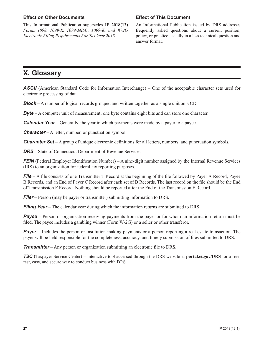#### **Effect on Other Documents**

This Informational Publication supersedes **IP 2018(12)** *Forms 1098, 1099-R, 1099-MISC, 1099-K, and W-2G Electronic Filing Requirements For Tax Year 2018.*

#### **Effect of This Document**

An Informational Publication issued by DRS addresses frequently asked questions about a current position, policy, or practice, usually in a less technical question and answer format.

### **X. Glossary**

**ASCII** (American Standard Code for Information Interchange) – One of the acceptable character sets used for electronic processing of data.

*Block* – A number of logical records grouped and written together as a single unit on a CD.

*Byte* – A computer unit of measurement; one byte contains eight bits and can store one character.

*Calendar Year* – Generally, the year in which payments were made by a payer to a payee.

*Character* – A letter, number, or punctuation symbol.

*Character Set* – A group of unique electronic definitions for all letters, numbers, and punctuation symbols.

**DRS** – State of Connecticut Department of Revenue Services.

*FEIN* (Federal Employer Identification Number) – A nine-digit number assigned by the Internal Revenue Services (IRS) to an organization for federal tax reporting purposes.

*File* – A file consists of one Transmitter T Record at the beginning of the file followed by Payer A Record, Payee B Records, and an End of Payer C Record after each set of B Records. The last record on the file should be the End of Transmission F Record. Nothing should be reported after the End of the Transmission F Record.

*Filer* – Person (may be payer or transmitter) submitting information to DRS.

*Filing Year* – The calendar year during which the information returns are submitted to DRS.

*Payee* – Person or organization receiving payments from the payer or for whom an information return must be filed. The payee includes a gambling winner (Form W-2G) or a seller or other transferor.

*Payer* – Includes the person or institution making payments or a person reporting a real estate transaction. The payer will be held responsible for the completeness, accuracy, and timely submission of files submitted to DRS.

*Transmitter* – Any person or organization submitting an electronic file to DRS.

*TSC* (Taxpayer Service Center) – Interactive tool accessed through the DRS website at **portal.ct.gov/DRS** for a free, fast, easy, and secure way to conduct business with DRS.